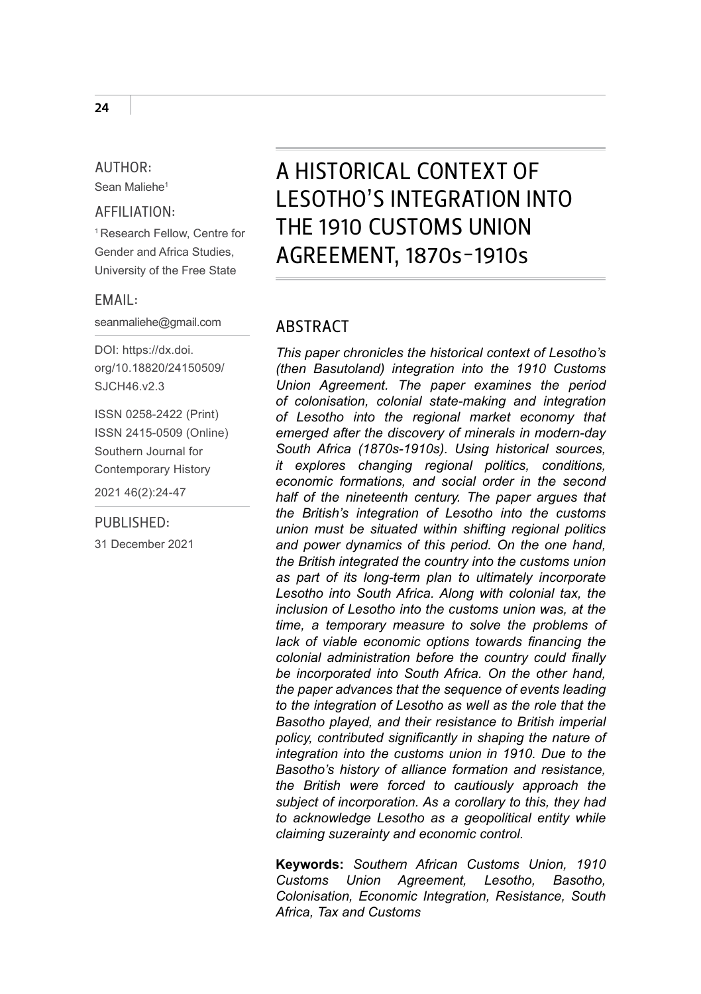#### AUTHOR:

Sean Maliehe1

#### AFFILIATION:

1 Research Fellow, Centre for Gender and Africa Studies, University of the Free State

#### EMAIL:

seanmaliehe@gmail.com

DOI: [https://dx.doi.](https://dx.doi.org/10.18820/24150509/SJCH46.v2.3) [org/10.18820/24150509/](https://dx.doi.org/10.18820/24150509/SJCH46.v2.3) [SJCH46.v2.3](https://dx.doi.org/10.18820/24150509/SJCH46.v2.3)

ISSN 0258-2422 (Print) ISSN 2415-0509 (Online) Southern Journal for Contemporary History

2021 46(2):24-47

#### PURLISHED:

31 December 2021

# A HISTORICAL CONTEXT OF LESOTHO'S INTEGRATION INTO THE 1910 CUSTOMS UNION AGREEMENT, 1870s-1910s

#### **ARSTRACT**

*This paper chronicles the historical context of Lesotho's (then Basutoland) integration into the 1910 Customs Union Agreement. The paper examines the period of colonisation, colonial state-making and integration of Lesotho into the regional market economy that emerged after the discovery of minerals in modern-day South Africa (1870s-1910s). Using historical sources, it explores changing regional politics, conditions, economic formations, and social order in the second half of the nineteenth century. The paper argues that the British's integration of Lesotho into the customs union must be situated within shifting regional politics and power dynamics of this period. On the one hand, the British integrated the country into the customs union as part of its long-term plan to ultimately incorporate Lesotho into South Africa. Along with colonial tax, the inclusion of Lesotho into the customs union was, at the time, a temporary measure to solve the problems of lack of viable economic options towards financing the colonial administration before the country could finally be incorporated into South Africa. On the other hand, the paper advances that the sequence of events leading to the integration of Lesotho as well as the role that the Basotho played, and their resistance to British imperial policy, contributed significantly in shaping the nature of integration into the customs union in 1910. Due to the Basotho's history of alliance formation and resistance, the British were forced to cautiously approach the subject of incorporation. As a corollary to this, they had to acknowledge Lesotho as a geopolitical entity while claiming suzerainty and economic control.*

**Keywords:** *Southern African Customs Union, 1910 Customs Union Agreement, Lesotho, Basotho, Colonisation, Economic Integration, Resistance, South Africa, Tax and Customs*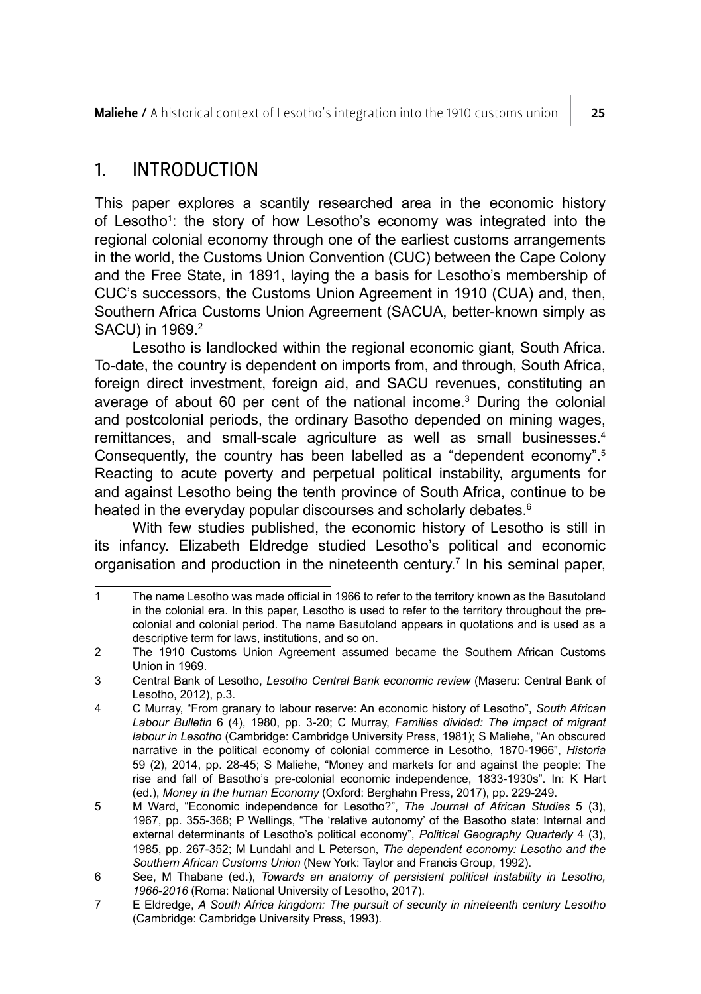**Maliehe** / A historical context of Lesotho's integration into the 1910 customs union  $\overline{\phantom{a}}$  25

#### 1. INTRODUCTION

This paper explores a scantily researched area in the economic history of Lesotho1 : the story of how Lesotho's economy was integrated into the regional colonial economy through one of the earliest customs arrangements in the world, the Customs Union Convention (CUC) between the Cape Colony and the Free State, in 1891, laying the a basis for Lesotho's membership of CUC's successors, the Customs Union Agreement in 1910 (CUA) and, then, Southern Africa Customs Union Agreement (SACUA, better-known simply as SACU) in 1969.2

Lesotho is landlocked within the regional economic giant, South Africa. To-date, the country is dependent on imports from, and through, South Africa, foreign direct investment, foreign aid, and SACU revenues, constituting an average of about 60 per cent of the national income.<sup>3</sup> During the colonial and postcolonial periods, the ordinary Basotho depended on mining wages, remittances, and small-scale agriculture as well as small businesses.<sup>4</sup> Consequently, the country has been labelled as a "dependent economy".5 Reacting to acute poverty and perpetual political instability, arguments for and against Lesotho being the tenth province of South Africa, continue to be heated in the everyday popular discourses and scholarly debates.<sup>6</sup>

With few studies published, the economic history of Lesotho is still in its infancy. Elizabeth Eldredge studied Lesotho's political and economic organisation and production in the nineteenth century.7 In his seminal paper,

<sup>1</sup> The name Lesotho was made official in 1966 to refer to the territory known as the Basutoland in the colonial era. In this paper, Lesotho is used to refer to the territory throughout the precolonial and colonial period. The name Basutoland appears in quotations and is used as a descriptive term for laws, institutions, and so on.

<sup>2</sup> The 1910 Customs Union Agreement assumed became the Southern African Customs Union in 1969.

<sup>3</sup> Central Bank of Lesotho, *Lesotho Central Bank economic review* (Maseru: Central Bank of Lesotho, 2012), p.3.

<sup>4</sup> C Murray, "From granary to labour reserve: An economic history of Lesotho", *South African Labour Bulletin* 6 (4), 1980, pp. 3-20; C Murray, *Families divided: The impact of migrant labour in Lesotho* (Cambridge: Cambridge University Press, 1981); S Maliehe, "An obscured narrative in the political economy of colonial commerce in Lesotho, 1870-1966", *Historia*  59 (2), 2014, pp. 28-45; S Maliehe, "Money and markets for and against the people: The rise and fall of Basotho's pre-colonial economic independence, 1833-1930s". In: K Hart (ed.), *Money in the human Economy* (Oxford: Berghahn Press, 2017), pp. 229-249.

<sup>5</sup> M Ward, "Economic independence for Lesotho?", *The Journal of African Studies* 5 (3), 1967, pp. 355-368; P Wellings, "The 'relative autonomy' of the Basotho state: Internal and external determinants of Lesotho's political economy", *Political Geography Quarterly* 4 (3), 1985, pp. 267-352; M Lundahl and L Peterson, *The dependent economy: Lesotho and the Southern African Customs Union* (New York: Taylor and Francis Group, 1992).

<sup>6</sup> See, M Thabane (ed.), *Towards an anatomy of persistent political instability in Lesotho, 1966-2016* (Roma: National University of Lesotho, 2017).

<sup>7</sup> E Eldredge, *A South Africa kingdom: The pursuit of security in nineteenth century Lesotho*  (Cambridge: Cambridge University Press, 1993).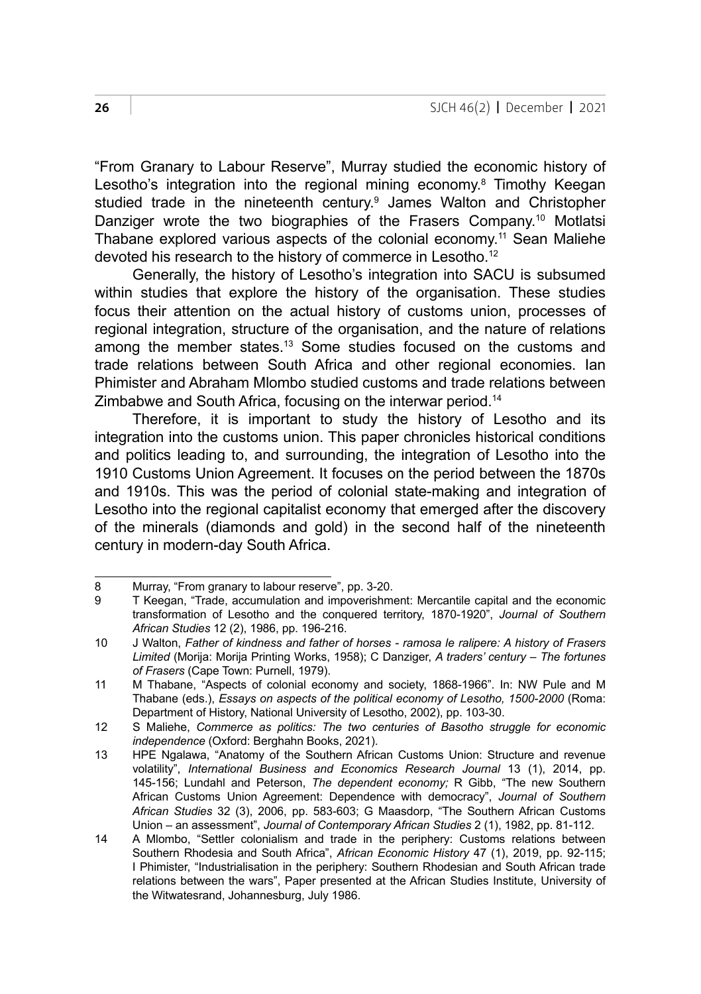"From Granary to Labour Reserve", Murray studied the economic history of Lesotho's integration into the regional mining economy.<sup>8</sup> Timothy Keegan studied trade in the nineteenth century.<sup>9</sup> James Walton and Christopher Danziger wrote the two biographies of the Frasers Company.<sup>10</sup> Motlatsi Thabane explored various aspects of the colonial economy.11 Sean Maliehe devoted his research to the history of commerce in Lesotho.12

Generally, the history of Lesotho's integration into SACU is subsumed within studies that explore the history of the organisation. These studies focus their attention on the actual history of customs union, processes of regional integration, structure of the organisation, and the nature of relations among the member states.13 Some studies focused on the customs and trade relations between South Africa and other regional economies. Ian Phimister and Abraham Mlombo studied customs and trade relations between Zimbabwe and South Africa, focusing on the interwar period.14

Therefore, it is important to study the history of Lesotho and its integration into the customs union. This paper chronicles historical conditions and politics leading to, and surrounding, the integration of Lesotho into the 1910 Customs Union Agreement. It focuses on the period between the 1870s and 1910s. This was the period of colonial state-making and integration of Lesotho into the regional capitalist economy that emerged after the discovery of the minerals (diamonds and gold) in the second half of the nineteenth century in modern-day South Africa.

<sup>8</sup> Murray, "From granary to labour reserve", pp. 3-20.<br>9 T Keegan. "Trade. accumulation and impoverishm

<sup>9</sup> T Keegan, "Trade, accumulation and impoverishment: Mercantile capital and the economic transformation of Lesotho and the conquered territory, 1870-1920", *Journal of Southern African Studies* 12 (2), 1986, pp. 196-216.

<sup>10</sup> J Walton, *Father of kindness and father of horses - ramosa le ralipere: A history of Frasers Limited* (Morija: Morija Printing Works, 1958); C Danziger, *A traders' century – The fortunes of Frasers* (Cape Town: Purnell, 1979).

<sup>11</sup> M Thabane, "Aspects of colonial economy and society, 1868-1966". In: NW Pule and M Thabane (eds.), *Essays on aspects of the political economy of Lesotho, 1500-2000* (Roma: Department of History, National University of Lesotho, 2002), pp. 103-30.

<sup>12</sup> S Maliehe, *Commerce as politics: The two centuries of Basotho struggle for economic independence* (Oxford: Berghahn Books, 2021).

<sup>13</sup> HPE Ngalawa, "Anatomy of the Southern African Customs Union: Structure and revenue volatility", *International Business and Economics Research Journal* 13 (1), 2014, pp. 145-156; Lundahl and Peterson, *The dependent economy;* R Gibb, "The new Southern African Customs Union Agreement: Dependence with democracy", *Journal of Southern African Studies* 32 (3), 2006, pp. 583-603; G Maasdorp, "The Southern African Customs Union – an assessment", *Journal of Contemporary African Studies* 2 (1), 1982, pp. 81-112.

<sup>14</sup> A Mlombo, "Settler colonialism and trade in the periphery: Customs relations between Southern Rhodesia and South Africa", *African Economic History* 47 (1), 2019, pp. 92-115; I Phimister, "Industrialisation in the periphery: Southern Rhodesian and South African trade relations between the wars", Paper presented at the African Studies Institute, University of the Witwatesrand, Johannesburg, July 1986.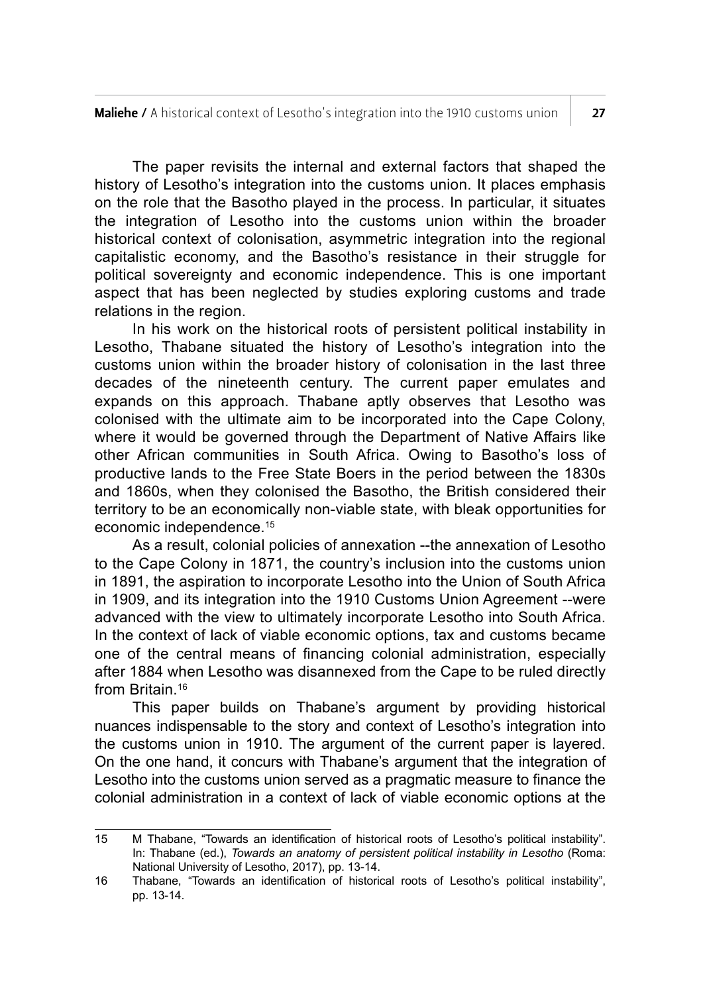The paper revisits the internal and external factors that shaped the history of Lesotho's integration into the customs union. It places emphasis on the role that the Basotho played in the process. In particular, it situates the integration of Lesotho into the customs union within the broader historical context of colonisation, asymmetric integration into the regional capitalistic economy, and the Basotho's resistance in their struggle for political sovereignty and economic independence. This is one important aspect that has been neglected by studies exploring customs and trade relations in the region.

In his work on the historical roots of persistent political instability in Lesotho, Thabane situated the history of Lesotho's integration into the customs union within the broader history of colonisation in the last three decades of the nineteenth century. The current paper emulates and expands on this approach. Thabane aptly observes that Lesotho was colonised with the ultimate aim to be incorporated into the Cape Colony, where it would be governed through the Department of Native Affairs like other African communities in South Africa. Owing to Basotho's loss of productive lands to the Free State Boers in the period between the 1830s and 1860s, when they colonised the Basotho, the British considered their territory to be an economically non-viable state, with bleak opportunities for economic independence.15

As a result, colonial policies of annexation --the annexation of Lesotho to the Cape Colony in 1871, the country's inclusion into the customs union in 1891, the aspiration to incorporate Lesotho into the Union of South Africa in 1909, and its integration into the 1910 Customs Union Agreement --were advanced with the view to ultimately incorporate Lesotho into South Africa. In the context of lack of viable economic options, tax and customs became one of the central means of financing colonial administration, especially after 1884 when Lesotho was disannexed from the Cape to be ruled directly from Britain.16

This paper builds on Thabane's argument by providing historical nuances indispensable to the story and context of Lesotho's integration into the customs union in 1910. The argument of the current paper is layered. On the one hand, it concurs with Thabane's argument that the integration of Lesotho into the customs union served as a pragmatic measure to finance the colonial administration in a context of lack of viable economic options at the

<sup>15</sup> M Thabane, "Towards an identification of historical roots of Lesotho's political instability". In: Thabane (ed.), *Towards an anatomy of persistent political instability in Lesotho* (Roma: National University of Lesotho, 2017), pp. 13-14.

<sup>16</sup> Thabane, "Towards an identification of historical roots of Lesotho's political instability", pp. 13-14.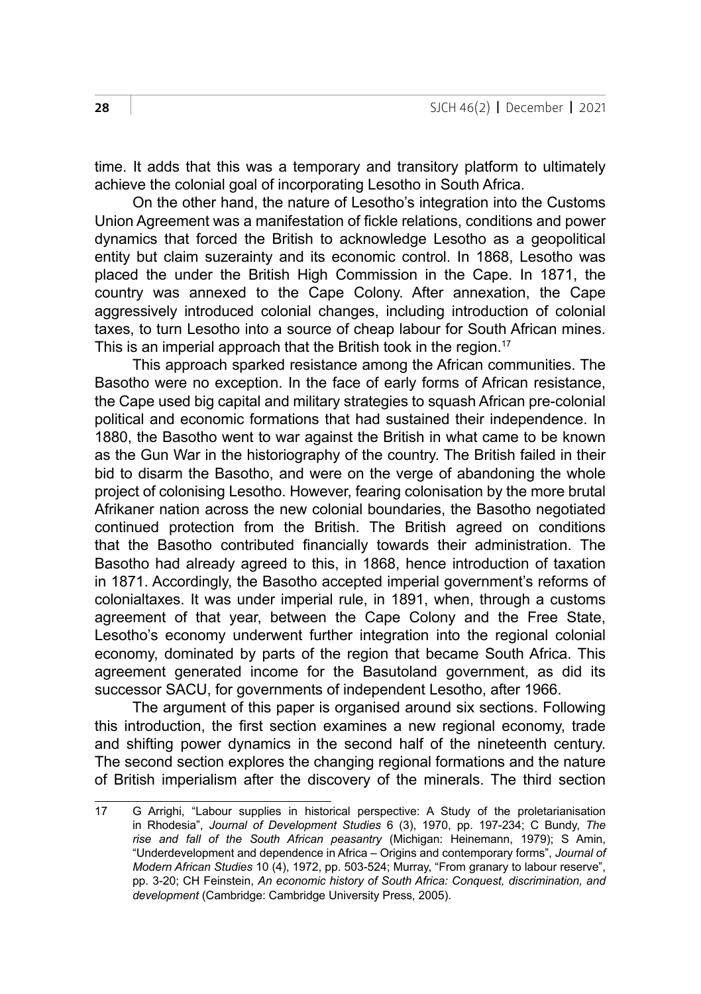time. It adds that this was a temporary and transitory platform to ultimately achieve the colonial goal of incorporating Lesotho in South Africa.

On the other hand, the nature of Lesotho's integration into the Customs Union Agreement was a manifestation of fickle relations, conditions and power dynamics that forced the British to acknowledge Lesotho as a geopolitical entity but claim suzerainty and its economic control. In 1868, Lesotho was placed the under the British High Commission in the Cape. In 1871, the country was annexed to the Cape Colony. After annexation, the Cape aggressively introduced colonial changes, including introduction of colonial taxes, to turn Lesotho into a source of cheap labour for South African mines. This is an imperial approach that the British took in the region.<sup>17</sup>

This approach sparked resistance among the African communities. The Basotho were no exception. In the face of early forms of African resistance, the Cape used big capital and military strategies to squash African pre-colonial political and economic formations that had sustained their independence. In 1880, the Basotho went to war against the British in what came to be known as the Gun War in the historiography of the country. The British failed in their bid to disarm the Basotho, and were on the verge of abandoning the whole project of colonising Lesotho. However, fearing colonisation by the more brutal Afrikaner nation across the new colonial boundaries, the Basotho negotiated continued protection from the British. The British agreed on conditions that the Basotho contributed financially towards their administration. The Basotho had already agreed to this, in 1868, hence introduction of taxation in 1871. Accordingly, the Basotho accepted imperial government's reforms of colonialtaxes. It was under imperial rule, in 1891, when, through a customs agreement of that year, between the Cape Colony and the Free State, Lesotho's economy underwent further integration into the regional colonial economy, dominated by parts of the region that became South Africa. This agreement generated income for the Basutoland government, as did its successor SACU, for governments of independent Lesotho, after 1966.

The argument of this paper is organised around six sections. Following this introduction, the first section examines a new regional economy, trade and shifting power dynamics in the second half of the nineteenth century. The second section explores the changing regional formations and the nature of British imperialism after the discovery of the minerals. The third section

<sup>17</sup> G Arrighi, "Labour supplies in historical perspective: A Study of the proletarianisation in Rhodesia", *Journal of Development Studies* 6 (3), 1970, pp. 197-234; C Bundy, *The rise and fall of the South African peasantry* (Michigan: Heinemann, 1979); S Amin, "Underdevelopment and dependence in Africa – Origins and contemporary forms", *Journal of Modern African Studies* 10 (4), 1972, pp. 503-524; Murray, "From granary to labour reserve", pp. 3-20; CH Feinstein, *An economic history of South Africa: Conquest, discrimination, and development* (Cambridge: Cambridge University Press, 2005).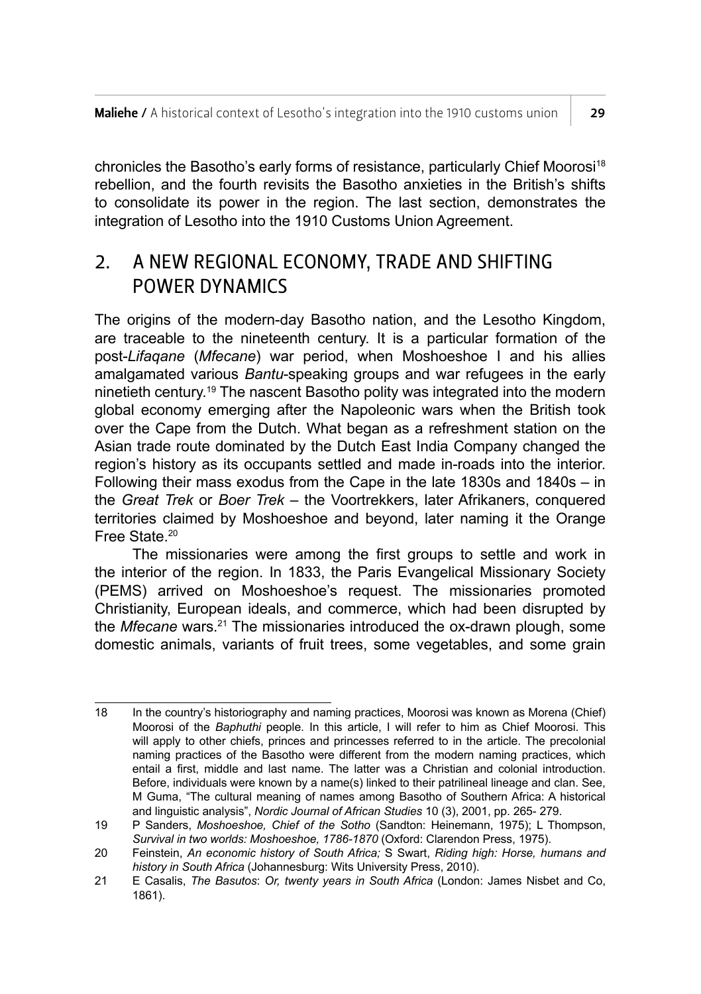chronicles the Basotho's early forms of resistance, particularly Chief Moorosi<sup>18</sup> rebellion, and the fourth revisits the Basotho anxieties in the British's shifts to consolidate its power in the region. The last section, demonstrates the integration of Lesotho into the 1910 Customs Union Agreement.

## 2. A NEW REGIONAL ECONOMY, TRADE AND SHIFTING POWER DYNAMICS

The origins of the modern-day Basotho nation, and the Lesotho Kingdom, are traceable to the nineteenth century. It is a particular formation of the post-*Lifaqane* (*Mfecane*) war period, when Moshoeshoe I and his allies amalgamated various *Bantu*-speaking groups and war refugees in the early ninetieth century.<sup>19</sup> The nascent Basotho polity was integrated into the modern global economy emerging after the Napoleonic wars when the British took over the Cape from the Dutch. What began as a refreshment station on the Asian trade route dominated by the Dutch East India Company changed the region's history as its occupants settled and made in-roads into the interior. Following their mass exodus from the Cape in the late 1830s and 1840s – in the *Great Trek* or *Boer Trek* – the Voortrekkers, later Afrikaners, conquered territories claimed by Moshoeshoe and beyond, later naming it the Orange Free State.20

The missionaries were among the first groups to settle and work in the interior of the region. In 1833, the Paris Evangelical Missionary Society (PEMS) arrived on Moshoeshoe's request. The missionaries promoted Christianity, European ideals, and commerce, which had been disrupted by the *Mfecane* wars.<sup>21</sup> The missionaries introduced the ox-drawn plough, some domestic animals, variants of fruit trees, some vegetables, and some grain

<sup>18</sup> In the country's historiography and naming practices, Moorosi was known as Morena (Chief) Moorosi of the *Baphuthi* people. In this article, I will refer to him as Chief Moorosi. This will apply to other chiefs, princes and princesses referred to in the article. The precolonial naming practices of the Basotho were different from the modern naming practices, which entail a first, middle and last name. The latter was a Christian and colonial introduction. Before, individuals were known by a name(s) linked to their patrilineal lineage and clan. See, M Guma, "The cultural meaning of names among Basotho of Southern Africa: A historical and linguistic analysis", *Nordic Journal of African Studies* 10 (3), 2001, pp. 265- 279.

<sup>19</sup> P Sanders, *Moshoeshoe, Chief of the Sotho* (Sandton: Heinemann, 1975); L Thompson, *Survival in two worlds: Moshoeshoe, 1786-1870* (Oxford: Clarendon Press, 1975).

<sup>20</sup> Feinstein, *An economic history of South Africa;* S Swart, *Riding high: Horse, humans and history in South Africa* (Johannesburg: Wits University Press, 2010).

<sup>21</sup> E Casalis, *The Basutos*: *Or, twenty years in South Africa* (London: James Nisbet and Co, 1861).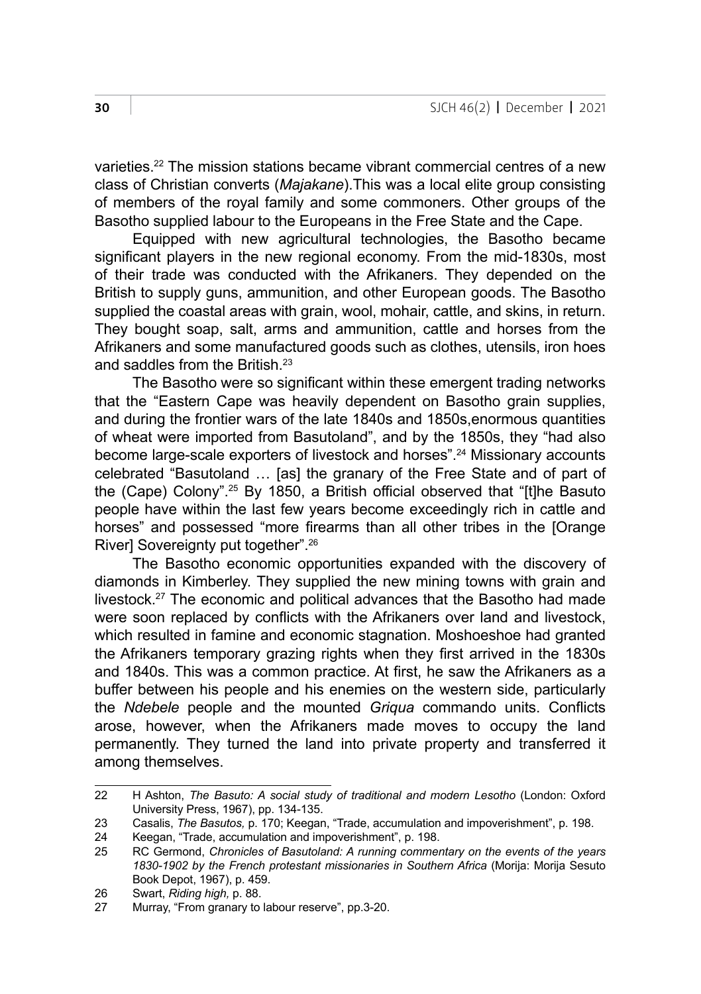varieties.22 The mission stations became vibrant commercial centres of a new class of Christian converts (*Majakane*).This was a local elite group consisting of members of the royal family and some commoners. Other groups of the Basotho supplied labour to the Europeans in the Free State and the Cape.

Equipped with new agricultural technologies, the Basotho became significant players in the new regional economy. From the mid-1830s, most of their trade was conducted with the Afrikaners. They depended on the British to supply guns, ammunition, and other European goods. The Basotho supplied the coastal areas with grain, wool, mohair, cattle, and skins, in return. They bought soap, salt, arms and ammunition, cattle and horses from the Afrikaners and some manufactured goods such as clothes, utensils, iron hoes and saddles from the British.23

The Basotho were so significant within these emergent trading networks that the "Eastern Cape was heavily dependent on Basotho grain supplies, and during the frontier wars of the late 1840s and 1850s,enormous quantities of wheat were imported from Basutoland", and by the 1850s, they "had also become large-scale exporters of livestock and horses".<sup>24</sup> Missionary accounts celebrated "Basutoland … [as] the granary of the Free State and of part of the (Cape) Colony".25 By 1850, a British official observed that "[t]he Basuto people have within the last few years become exceedingly rich in cattle and horses" and possessed "more firearms than all other tribes in the [Orange River] Sovereignty put together".<sup>26</sup>

The Basotho economic opportunities expanded with the discovery of diamonds in Kimberley. They supplied the new mining towns with grain and livestock.27 The economic and political advances that the Basotho had made were soon replaced by conflicts with the Afrikaners over land and livestock, which resulted in famine and economic stagnation. Moshoeshoe had granted the Afrikaners temporary grazing rights when they first arrived in the 1830s and 1840s. This was a common practice. At first, he saw the Afrikaners as a buffer between his people and his enemies on the western side, particularly the *Ndebele* people and the mounted *Griqua* commando units. Conflicts arose, however, when the Afrikaners made moves to occupy the land permanently. They turned the land into private property and transferred it among themselves.

<sup>22</sup> H Ashton, *The Basuto: A social study of traditional and modern Lesotho* (London: Oxford University Press, 1967), pp. 134-135.

<sup>23</sup> Casalis, *The Basutos,* p. 170; Keegan, "Trade, accumulation and impoverishment", p. 198.

<sup>24</sup> Keegan, "Trade, accumulation and impoverishment", p. 198.<br>25 RC Germond, Chronicles of Basutoland: A running commer

<sup>25</sup> RC Germond, *Chronicles of Basutoland: A running commentary on the events of the years 1830-1902 by the French protestant missionaries in Southern Africa* (Morija: Morija Sesuto Book Depot, 1967), p. 459.

<sup>26</sup> Swart, *Riding high,* p. 88.

Murray, "From granary to labour reserve", pp.3-20.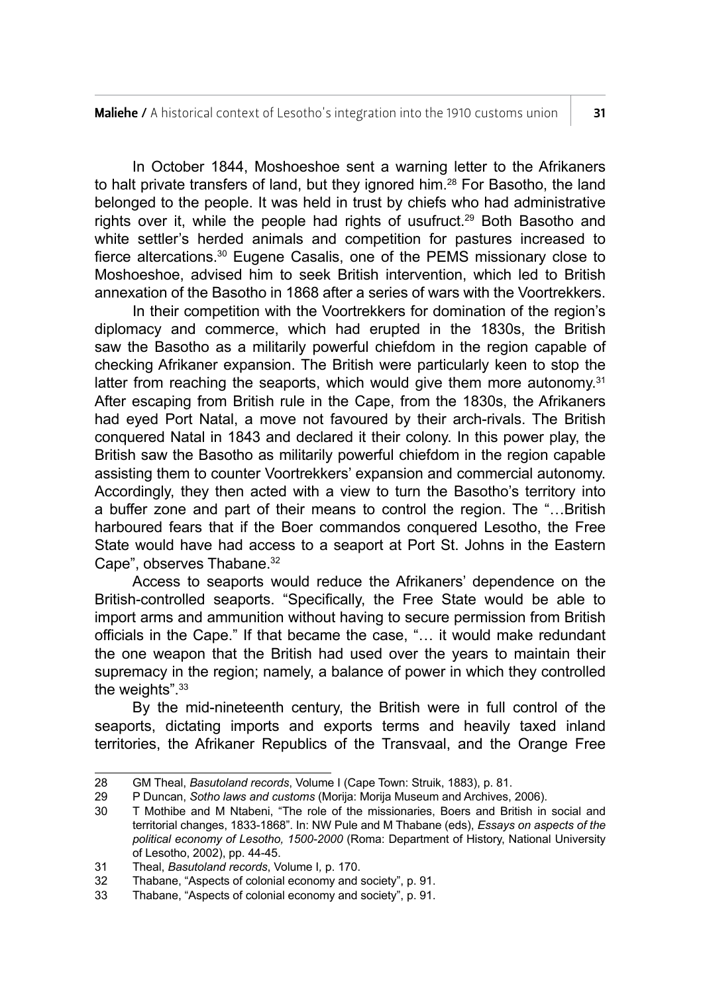In October 1844, Moshoeshoe sent a warning letter to the Afrikaners to halt private transfers of land, but they ignored him.<sup>28</sup> For Basotho, the land belonged to the people. It was held in trust by chiefs who had administrative rights over it, while the people had rights of usufruct.<sup>29</sup> Both Basotho and white settler's herded animals and competition for pastures increased to fierce altercations.30 Eugene Casalis, one of the PEMS missionary close to Moshoeshoe, advised him to seek British intervention, which led to British annexation of the Basotho in 1868 after a series of wars with the Voortrekkers.

In their competition with the Voortrekkers for domination of the region's diplomacy and commerce, which had erupted in the 1830s, the British saw the Basotho as a militarily powerful chiefdom in the region capable of checking Afrikaner expansion. The British were particularly keen to stop the latter from reaching the seaports, which would give them more autonomy. $31$ After escaping from British rule in the Cape, from the 1830s, the Afrikaners had eyed Port Natal, a move not favoured by their arch-rivals. The British conquered Natal in 1843 and declared it their colony. In this power play, the British saw the Basotho as militarily powerful chiefdom in the region capable assisting them to counter Voortrekkers' expansion and commercial autonomy. Accordingly, they then acted with a view to turn the Basotho's territory into a buffer zone and part of their means to control the region. The "…British harboured fears that if the Boer commandos conquered Lesotho, the Free State would have had access to a seaport at Port St. Johns in the Eastern Cape", observes Thabane.<sup>32</sup>

Access to seaports would reduce the Afrikaners' dependence on the British-controlled seaports. "Specifically, the Free State would be able to import arms and ammunition without having to secure permission from British officials in the Cape." If that became the case, "… it would make redundant the one weapon that the British had used over the years to maintain their supremacy in the region; namely, a balance of power in which they controlled the weights".<sup>33</sup>

By the mid-nineteenth century, the British were in full control of the seaports, dictating imports and exports terms and heavily taxed inland territories, the Afrikaner Republics of the Transvaal, and the Orange Free

<sup>28</sup> GM Theal, *Basutoland records*, Volume I (Cape Town: Struik, 1883), p. 81.<br>29 P Duncan, *Sotho laws and customs (Morija: Morija Museum and Archives* 

<sup>29</sup> P Duncan, *Sotho laws and customs* (Morija: Morija Museum and Archives, 2006).

<sup>30</sup> T Mothibe and M Ntabeni, "The role of the missionaries, Boers and British in social and territorial changes, 1833-1868". In: NW Pule and M Thabane (eds), *Essays on aspects of the political economy of Lesotho, 1500-2000* (Roma: Department of History, National University of Lesotho, 2002), pp. 44-45.

<sup>31</sup> Theal, *Basutoland records*, Volume I*,* p. 170.

<sup>32</sup> Thabane, "Aspects of colonial economy and society", p. 91.<br>33 Thabane "Aspects of colonial economy and society" p. 91.

Thabane, "Aspects of colonial economy and society", p. 91.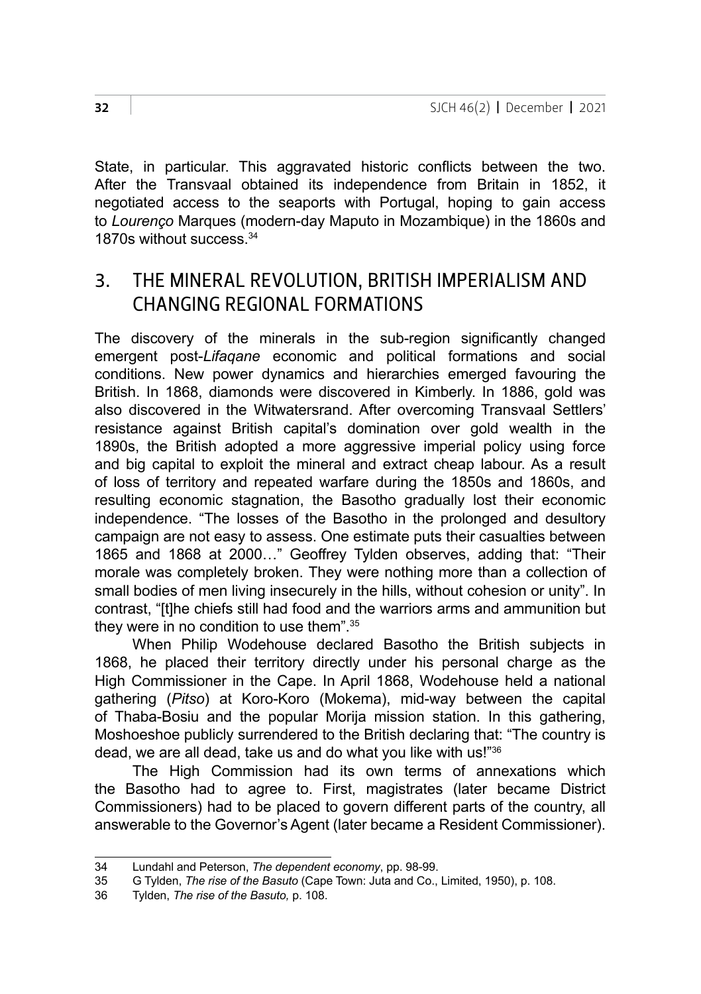State, in particular. This aggravated historic conflicts between the two. After the Transvaal obtained its independence from Britain in 1852, it negotiated access to the seaports with Portugal, hoping to gain access to *Lourenço* Marques (modern-day Maputo in Mozambique) in the 1860s and 1870s without success.<sup>34</sup>

### 3. THE MINERAL REVOLUTION, BRITISH IMPERIALISM AND CHANGING REGIONAL FORMATIONS

The discovery of the minerals in the sub-region significantly changed emergent post-*Lifaqane* economic and political formations and social conditions. New power dynamics and hierarchies emerged favouring the British. In 1868, diamonds were discovered in Kimberly. In 1886, gold was also discovered in the Witwatersrand. After overcoming Transvaal Settlers' resistance against British capital's domination over gold wealth in the 1890s, the British adopted a more aggressive imperial policy using force and big capital to exploit the mineral and extract cheap labour. As a result of loss of territory and repeated warfare during the 1850s and 1860s, and resulting economic stagnation, the Basotho gradually lost their economic independence. "The losses of the Basotho in the prolonged and desultory campaign are not easy to assess. One estimate puts their casualties between 1865 and 1868 at 2000…" Geoffrey Tylden observes, adding that: "Their morale was completely broken. They were nothing more than a collection of small bodies of men living insecurely in the hills, without cohesion or unity". In contrast, "[t]he chiefs still had food and the warriors arms and ammunition but they were in no condition to use them".35

When Philip Wodehouse declared Basotho the British subjects in 1868, he placed their territory directly under his personal charge as the High Commissioner in the Cape. In April 1868, Wodehouse held a national gathering (*Pitso*) at Koro-Koro (Mokema), mid-way between the capital of Thaba-Bosiu and the popular Morija mission station. In this gathering, Moshoeshoe publicly surrendered to the British declaring that: "The country is dead, we are all dead, take us and do what you like with us!"36

The High Commission had its own terms of annexations which the Basotho had to agree to. First, magistrates (later became District Commissioners) had to be placed to govern different parts of the country, all answerable to the Governor's Agent (later became a Resident Commissioner).

<sup>34</sup> Lundahl and Peterson, *The dependent economy*, pp. 98-99.

<sup>35</sup> G Tylden, *The rise of the Basuto* (Cape Town: Juta and Co., Limited, 1950), p. 108.

<sup>36</sup> Tylden, *The rise of the Basuto,* p. 108.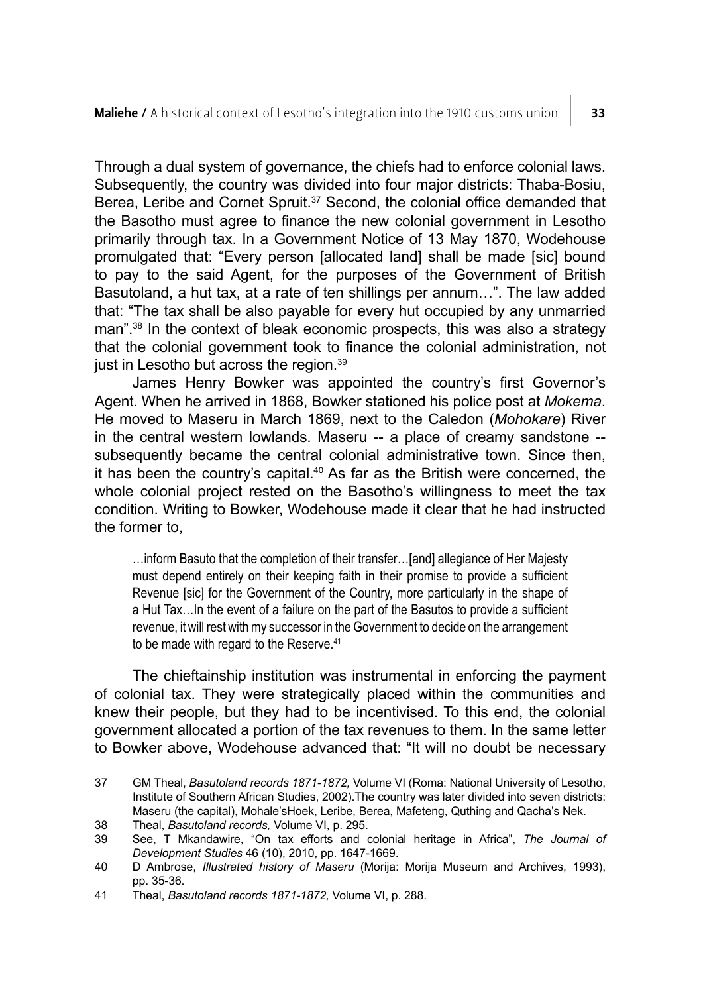Through a dual system of governance, the chiefs had to enforce colonial laws. Subsequently, the country was divided into four major districts: Thaba-Bosiu, Berea, Leribe and Cornet Spruit.<sup>37</sup> Second, the colonial office demanded that the Basotho must agree to finance the new colonial government in Lesotho primarily through tax. In a Government Notice of 13 May 1870, Wodehouse promulgated that: "Every person [allocated land] shall be made [sic] bound to pay to the said Agent, for the purposes of the Government of British Basutoland, a hut tax, at a rate of ten shillings per annum…". The law added that: "The tax shall be also payable for every hut occupied by any unmarried man".38 In the context of bleak economic prospects, this was also a strategy that the colonial government took to finance the colonial administration, not just in Lesotho but across the region.<sup>39</sup>

James Henry Bowker was appointed the country's first Governor's Agent. When he arrived in 1868, Bowker stationed his police post at *Mokema*. He moved to Maseru in March 1869, next to the Caledon (*Mohokare*) River in the central western lowlands. Maseru -- a place of creamy sandstone -subsequently became the central colonial administrative town. Since then, it has been the country's capital.40 As far as the British were concerned, the whole colonial project rested on the Basotho's willingness to meet the tax condition. Writing to Bowker, Wodehouse made it clear that he had instructed the former to,

…inform Basuto that the completion of their transfer…[and] allegiance of Her Majesty must depend entirely on their keeping faith in their promise to provide a sufficient Revenue [sic] for the Government of the Country, more particularly in the shape of a Hut Tax…In the event of a failure on the part of the Basutos to provide a sufficient revenue, it will rest with my successor in the Government to decide on the arrangement to be made with regard to the Reserve.<sup>41</sup>

The chieftainship institution was instrumental in enforcing the payment of colonial tax. They were strategically placed within the communities and knew their people, but they had to be incentivised. To this end, the colonial government allocated a portion of the tax revenues to them. In the same letter to Bowker above, Wodehouse advanced that: "It will no doubt be necessary

<sup>37</sup> GM Theal, *Basutoland records 1871-1872,* Volume VI (Roma: National University of Lesotho, Institute of Southern African Studies, 2002).The country was later divided into seven districts: Maseru (the capital), Mohale'sHoek, Leribe, Berea, Mafeteng, Quthing and Qacha's Nek. 38 Theal, *Basutoland records,* Volume VI, p. 295.

<sup>39</sup> See, T Mkandawire, "On tax efforts and colonial heritage in Africa", *The Journal of Development Studies* 46 (10), 2010, pp. 1647-1669.

<sup>40</sup> D Ambrose, *Illustrated history of Maseru* (Morija: Morija Museum and Archives, 1993), pp. 35-36.

<sup>41</sup> Theal, *Basutoland records 1871-1872,* Volume VI, p. 288.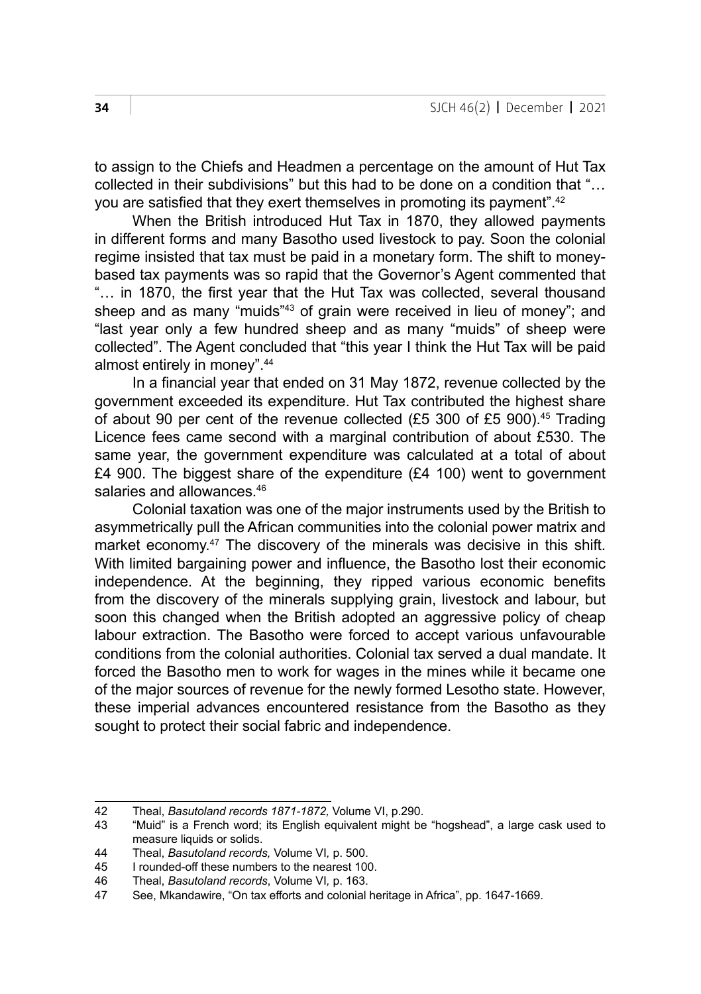to assign to the Chiefs and Headmen a percentage on the amount of Hut Tax collected in their subdivisions" but this had to be done on a condition that "… you are satisfied that they exert themselves in promoting its payment".<sup>42</sup>

When the British introduced Hut Tax in 1870, they allowed payments in different forms and many Basotho used livestock to pay. Soon the colonial regime insisted that tax must be paid in a monetary form. The shift to moneybased tax payments was so rapid that the Governor's Agent commented that "… in 1870, the first year that the Hut Tax was collected, several thousand sheep and as many "muids"<sup>43</sup> of grain were received in lieu of money"; and "last year only a few hundred sheep and as many "muids" of sheep were collected". The Agent concluded that "this year I think the Hut Tax will be paid almost entirely in money".44

In a financial year that ended on 31 May 1872, revenue collected by the government exceeded its expenditure. Hut Tax contributed the highest share of about 90 per cent of the revenue collected (£5 300 of £5 900).<sup>45</sup> Trading Licence fees came second with a marginal contribution of about £530. The same year, the government expenditure was calculated at a total of about £4 900. The biggest share of the expenditure (£4 100) went to government salaries and allowances.<sup>46</sup>

Colonial taxation was one of the major instruments used by the British to asymmetrically pull the African communities into the colonial power matrix and market economy.<sup>47</sup> The discovery of the minerals was decisive in this shift. With limited bargaining power and influence, the Basotho lost their economic independence. At the beginning, they ripped various economic benefits from the discovery of the minerals supplying grain, livestock and labour, but soon this changed when the British adopted an aggressive policy of cheap labour extraction. The Basotho were forced to accept various unfavourable conditions from the colonial authorities. Colonial tax served a dual mandate. It forced the Basotho men to work for wages in the mines while it became one of the major sources of revenue for the newly formed Lesotho state. However, these imperial advances encountered resistance from the Basotho as they sought to protect their social fabric and independence.

<sup>42</sup> Theal, *Basutoland records 1871-1872,* Volume VI, p.290.

<sup>43</sup> "Muid" is a French word; its English equivalent might be "hogshead", a large cask used to measure liquids or solids.

<sup>44</sup> Theal, *Basutoland records,* Volume VI*,* p. 500.

I rounded-off these numbers to the nearest 100.

<sup>46</sup> Theal, *Basutoland records*, Volume VI*,* p. 163.

See, Mkandawire, "On tax efforts and colonial heritage in Africa", pp. 1647-1669.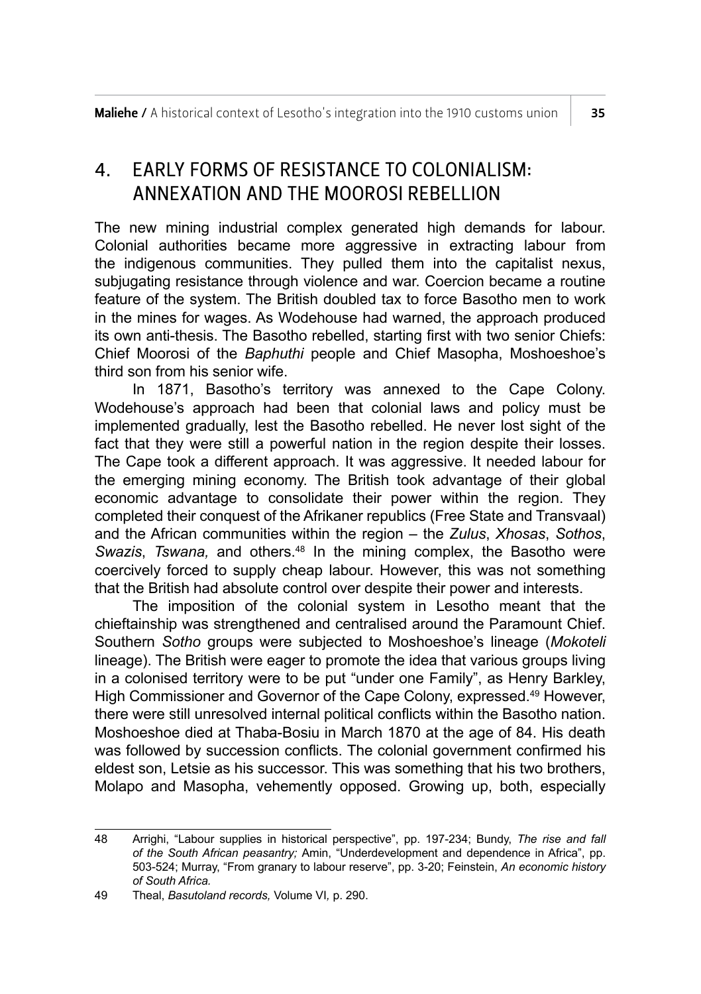# 4. EARLY FORMS OF RESISTANCE TO COLONIALISM: ANNEXATION AND THE MOOROSI REBELLION

The new mining industrial complex generated high demands for labour. Colonial authorities became more aggressive in extracting labour from the indigenous communities. They pulled them into the capitalist nexus, subjugating resistance through violence and war. Coercion became a routine feature of the system. The British doubled tax to force Basotho men to work in the mines for wages. As Wodehouse had warned, the approach produced its own anti-thesis. The Basotho rebelled, starting first with two senior Chiefs: Chief Moorosi of the *Baphuthi* people and Chief Masopha, Moshoeshoe's third son from his senior wife.

In 1871, Basotho's territory was annexed to the Cape Colony. Wodehouse's approach had been that colonial laws and policy must be implemented gradually, lest the Basotho rebelled. He never lost sight of the fact that they were still a powerful nation in the region despite their losses. The Cape took a different approach. It was aggressive. It needed labour for the emerging mining economy. The British took advantage of their global economic advantage to consolidate their power within the region. They completed their conquest of the Afrikaner republics (Free State and Transvaal) and the African communities within the region – the *Zulus*, *Xhosas*, *Sothos*, *Swazis*, *Tswana,* and others.48 In the mining complex, the Basotho were coercively forced to supply cheap labour. However, this was not something that the British had absolute control over despite their power and interests.

The imposition of the colonial system in Lesotho meant that the chieftainship was strengthened and centralised around the Paramount Chief. Southern *Sotho* groups were subjected to Moshoeshoe's lineage (*Mokoteli* lineage). The British were eager to promote the idea that various groups living in a colonised territory were to be put "under one Family", as Henry Barkley, High Commissioner and Governor of the Cape Colony, expressed.<sup>49</sup> However, there were still unresolved internal political conflicts within the Basotho nation. Moshoeshoe died at Thaba-Bosiu in March 1870 at the age of 84. His death was followed by succession conflicts. The colonial government confirmed his eldest son, Letsie as his successor. This was something that his two brothers, Molapo and Masopha, vehemently opposed. Growing up, both, especially

<sup>48</sup> Arrighi, "Labour supplies in historical perspective", pp. 197-234; Bundy, *The rise and fall of the South African peasantry;* Amin, "Underdevelopment and dependence in Africa", pp. 503-524; Murray, "From granary to labour reserve", pp. 3-20; Feinstein, *An economic history of South Africa.*

<sup>49</sup> Theal, *Basutoland records,* Volume VI*,* p. 290.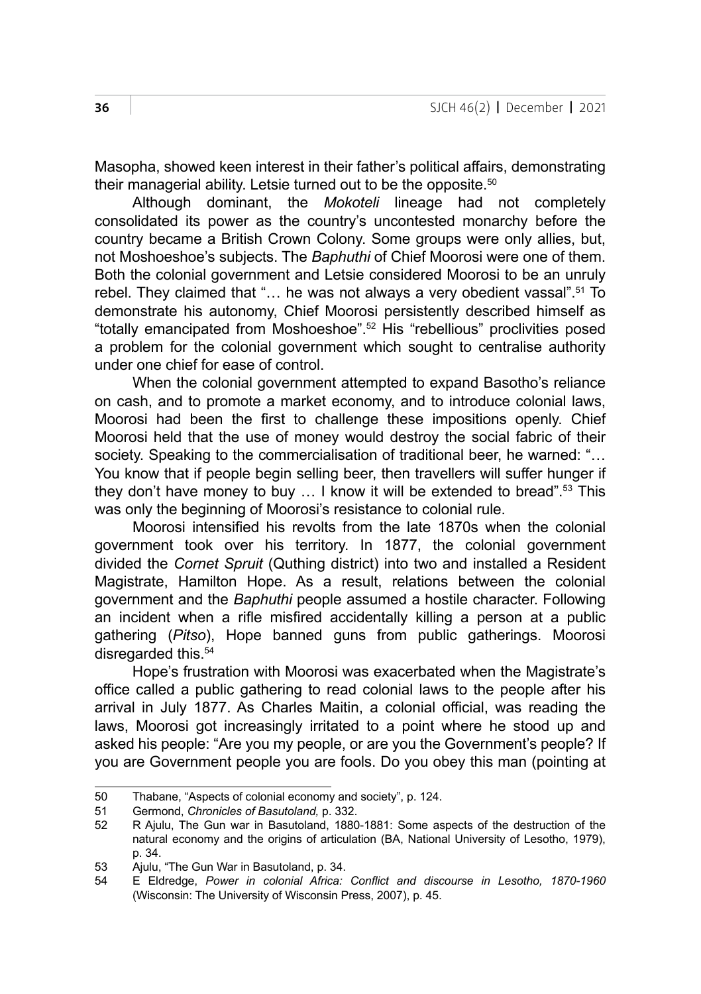Masopha, showed keen interest in their father's political affairs, demonstrating their managerial ability. Letsie turned out to be the opposite.<sup>50</sup>

Although dominant, the *Mokoteli* lineage had not completely consolidated its power as the country's uncontested monarchy before the country became a British Crown Colony. Some groups were only allies, but, not Moshoeshoe's subjects. The *Baphuthi* of Chief Moorosi were one of them. Both the colonial government and Letsie considered Moorosi to be an unruly rebel. They claimed that "... he was not always a very obedient vassal".<sup>51</sup> To demonstrate his autonomy, Chief Moorosi persistently described himself as "totally emancipated from Moshoeshoe".<sup>52</sup> His "rebellious" proclivities posed a problem for the colonial government which sought to centralise authority under one chief for ease of control.

When the colonial government attempted to expand Basotho's reliance on cash, and to promote a market economy, and to introduce colonial laws, Moorosi had been the first to challenge these impositions openly. Chief Moorosi held that the use of money would destroy the social fabric of their society. Speaking to the commercialisation of traditional beer, he warned: "... You know that if people begin selling beer, then travellers will suffer hunger if they don't have money to buy … I know it will be extended to bread".53 This was only the beginning of Moorosi's resistance to colonial rule.

Moorosi intensified his revolts from the late 1870s when the colonial government took over his territory. In 1877, the colonial government divided the *Cornet Spruit* (Quthing district) into two and installed a Resident Magistrate, Hamilton Hope. As a result, relations between the colonial government and the *Baphuthi* people assumed a hostile character. Following an incident when a rifle misfired accidentally killing a person at a public gathering (*Pitso*), Hope banned guns from public gatherings. Moorosi disregarded this.<sup>54</sup>

Hope's frustration with Moorosi was exacerbated when the Magistrate's office called a public gathering to read colonial laws to the people after his arrival in July 1877. As Charles Maitin, a colonial official, was reading the laws, Moorosi got increasingly irritated to a point where he stood up and asked his people: "Are you my people, or are you the Government's people? If you are Government people you are fools. Do you obey this man (pointing at

<sup>50</sup> Thabane, "Aspects of colonial economy and society", p. 124.<br>51 Germond. Chronicles of Basutoland. p. 332.

<sup>51</sup> Germond, *Chronicles of Basutoland,* p. 332.

<sup>52</sup> R Ajulu, The Gun war in Basutoland, 1880-1881: Some aspects of the destruction of the natural economy and the origins of articulation (BA, National University of Lesotho, 1979), p. 34.

<sup>53</sup> Ajulu, "The Gun War in Basutoland, p. 34.

<sup>54</sup> E Eldredge, *Power in colonial Africa: Conflict and discourse in Lesotho, 1870-1960* (Wisconsin: The University of Wisconsin Press, 2007), p. 45.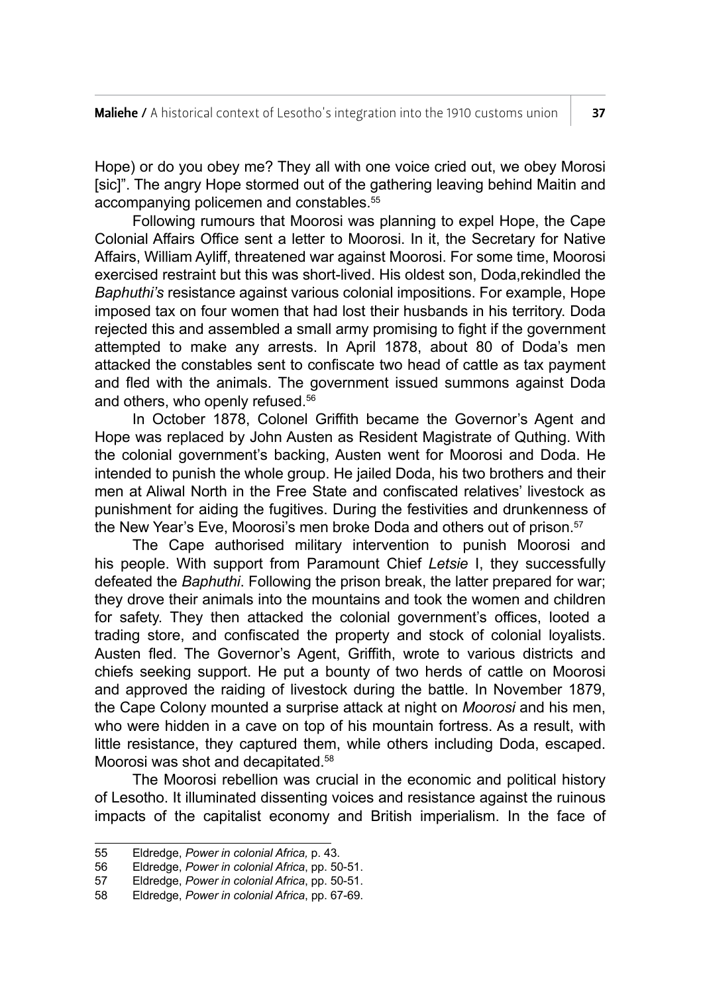Hope) or do you obey me? They all with one voice cried out, we obey Morosi [sic]". The angry Hope stormed out of the gathering leaving behind Maitin and accompanying policemen and constables.<sup>55</sup>

Following rumours that Moorosi was planning to expel Hope, the Cape Colonial Affairs Office sent a letter to Moorosi. In it, the Secretary for Native Affairs, William Ayliff, threatened war against Moorosi. For some time, Moorosi exercised restraint but this was short-lived. His oldest son, Doda,rekindled the *Baphuthi's* resistance against various colonial impositions. For example, Hope imposed tax on four women that had lost their husbands in his territory. Doda rejected this and assembled a small army promising to fight if the government attempted to make any arrests. In April 1878, about 80 of Doda's men attacked the constables sent to confiscate two head of cattle as tax payment and fled with the animals. The government issued summons against Doda and others, who openly refused.<sup>56</sup>

In October 1878, Colonel Griffith became the Governor's Agent and Hope was replaced by John Austen as Resident Magistrate of Quthing. With the colonial government's backing, Austen went for Moorosi and Doda. He intended to punish the whole group. He jailed Doda, his two brothers and their men at Aliwal North in the Free State and confiscated relatives' livestock as punishment for aiding the fugitives. During the festivities and drunkenness of the New Year's Eve, Moorosi's men broke Doda and others out of prison.<sup>57</sup>

The Cape authorised military intervention to punish Moorosi and his people. With support from Paramount Chief *Letsie* I, they successfully defeated the *Baphuthi*. Following the prison break, the latter prepared for war; they drove their animals into the mountains and took the women and children for safety. They then attacked the colonial government's offices, looted a trading store, and confiscated the property and stock of colonial loyalists. Austen fled. The Governor's Agent, Griffith, wrote to various districts and chiefs seeking support. He put a bounty of two herds of cattle on Moorosi and approved the raiding of livestock during the battle. In November 1879, the Cape Colony mounted a surprise attack at night on *Moorosi* and his men, who were hidden in a cave on top of his mountain fortress. As a result, with little resistance, they captured them, while others including Doda, escaped. Moorosi was shot and decapitated.58

The Moorosi rebellion was crucial in the economic and political history of Lesotho. It illuminated dissenting voices and resistance against the ruinous impacts of the capitalist economy and British imperialism. In the face of

<sup>55</sup> Eldredge, *Power in colonial Africa,* p. 43.

<sup>56</sup> Eldredge, *Power in colonial Africa*, pp. 50-51.

<sup>57</sup> Eldredge, *Power in colonial Africa*, pp. 50-51.

<sup>58</sup> Eldredge, *Power in colonial Africa*, pp. 67-69.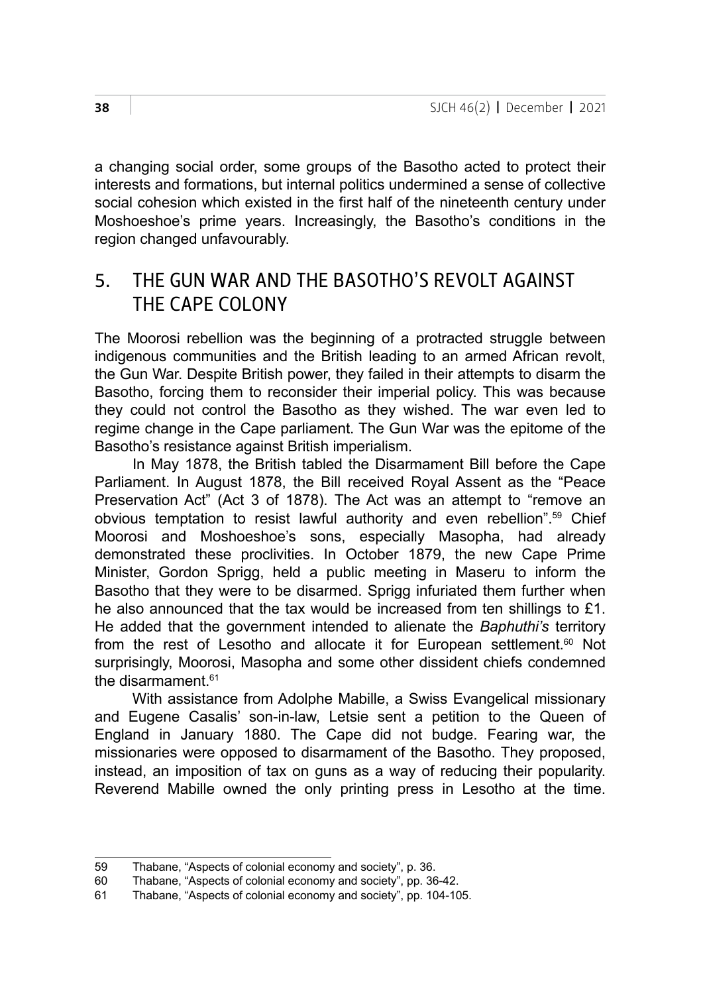a changing social order, some groups of the Basotho acted to protect their interests and formations, but internal politics undermined a sense of collective social cohesion which existed in the first half of the nineteenth century under Moshoeshoe's prime years. Increasingly, the Basotho's conditions in the region changed unfavourably.

### 5. THE GUN WAR AND THE BASOTHO'S REVOLT AGAINST THE CAPE COLONY

The Moorosi rebellion was the beginning of a protracted struggle between indigenous communities and the British leading to an armed African revolt, the Gun War. Despite British power, they failed in their attempts to disarm the Basotho, forcing them to reconsider their imperial policy. This was because they could not control the Basotho as they wished. The war even led to regime change in the Cape parliament. The Gun War was the epitome of the Basotho's resistance against British imperialism.

In May 1878, the British tabled the Disarmament Bill before the Cape Parliament. In August 1878, the Bill received Royal Assent as the "Peace Preservation Act" (Act 3 of 1878). The Act was an attempt to "remove an obvious temptation to resist lawful authority and even rebellion".59 Chief Moorosi and Moshoeshoe's sons, especially Masopha, had already demonstrated these proclivities. In October 1879, the new Cape Prime Minister, Gordon Sprigg, held a public meeting in Maseru to inform the Basotho that they were to be disarmed. Sprigg infuriated them further when he also announced that the tax would be increased from ten shillings to £1. He added that the government intended to alienate the *Baphuthi's* territory from the rest of Lesotho and allocate it for European settlement.<sup>60</sup> Not surprisingly, Moorosi, Masopha and some other dissident chiefs condemned the disarmament  $61$ 

With assistance from Adolphe Mabille, a Swiss Evangelical missionary and Eugene Casalis' son-in-law, Letsie sent a petition to the Queen of England in January 1880. The Cape did not budge. Fearing war, the missionaries were opposed to disarmament of the Basotho. They proposed, instead, an imposition of tax on guns as a way of reducing their popularity. Reverend Mabille owned the only printing press in Lesotho at the time.

<sup>59</sup> Thabane, "Aspects of colonial economy and society", p. 36.<br>60 Thabane. "Aspects of colonial economy and society", pp. 36

<sup>60</sup> Thabane, "Aspects of colonial economy and society", pp. 36-42.

Thabane, "Aspects of colonial economy and society", pp. 104-105.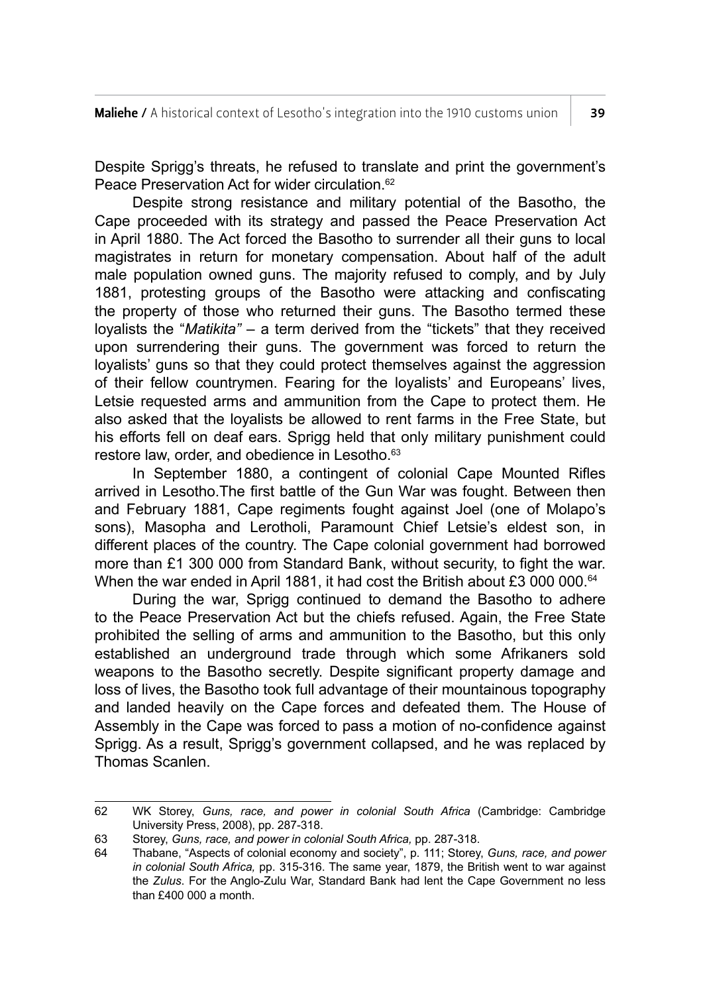Despite Sprigg's threats, he refused to translate and print the government's Peace Preservation Act for wider circulation.<sup>62</sup>

Despite strong resistance and military potential of the Basotho, the Cape proceeded with its strategy and passed the Peace Preservation Act in April 1880. The Act forced the Basotho to surrender all their guns to local magistrates in return for monetary compensation. About half of the adult male population owned guns. The majority refused to comply, and by July 1881, protesting groups of the Basotho were attacking and confiscating the property of those who returned their guns. The Basotho termed these loyalists the "*Matikita"* – a term derived from the "tickets" that they received upon surrendering their guns. The government was forced to return the loyalists' guns so that they could protect themselves against the aggression of their fellow countrymen. Fearing for the loyalists' and Europeans' lives, Letsie requested arms and ammunition from the Cape to protect them. He also asked that the loyalists be allowed to rent farms in the Free State, but his efforts fell on deaf ears. Sprigg held that only military punishment could restore law, order, and obedience in Lesotho.<sup>63</sup>

In September 1880, a contingent of colonial Cape Mounted Rifles arrived in Lesotho.The first battle of the Gun War was fought. Between then and February 1881, Cape regiments fought against Joel (one of Molapo's sons), Masopha and Lerotholi, Paramount Chief Letsie's eldest son, in different places of the country. The Cape colonial government had borrowed more than £1 300 000 from Standard Bank, without security, to fight the war. When the war ended in April 1881, it had cost the British about £3 000 000.<sup>64</sup>

During the war, Sprigg continued to demand the Basotho to adhere to the Peace Preservation Act but the chiefs refused. Again, the Free State prohibited the selling of arms and ammunition to the Basotho, but this only established an underground trade through which some Afrikaners sold weapons to the Basotho secretly. Despite significant property damage and loss of lives, the Basotho took full advantage of their mountainous topography and landed heavily on the Cape forces and defeated them. The House of Assembly in the Cape was forced to pass a motion of no-confidence against Sprigg. As a result. Sprigg's government collapsed, and he was replaced by Thomas Scanlen.

<sup>62</sup> WK Storey, *Guns, race, and power in colonial South Africa* (Cambridge: Cambridge University Press, 2008), pp. 287-318.

<sup>63</sup> Storey, *Guns, race, and power in colonial South Africa,* pp. 287-318.

<sup>64</sup> Thabane, "Aspects of colonial economy and society", p. 111; Storey, *Guns, race, and power in colonial South Africa,* pp. 315-316. The same year, 1879, the British went to war against the *Zulus*. For the Anglo-Zulu War, Standard Bank had lent the Cape Government no less than  $f400,000$  a month.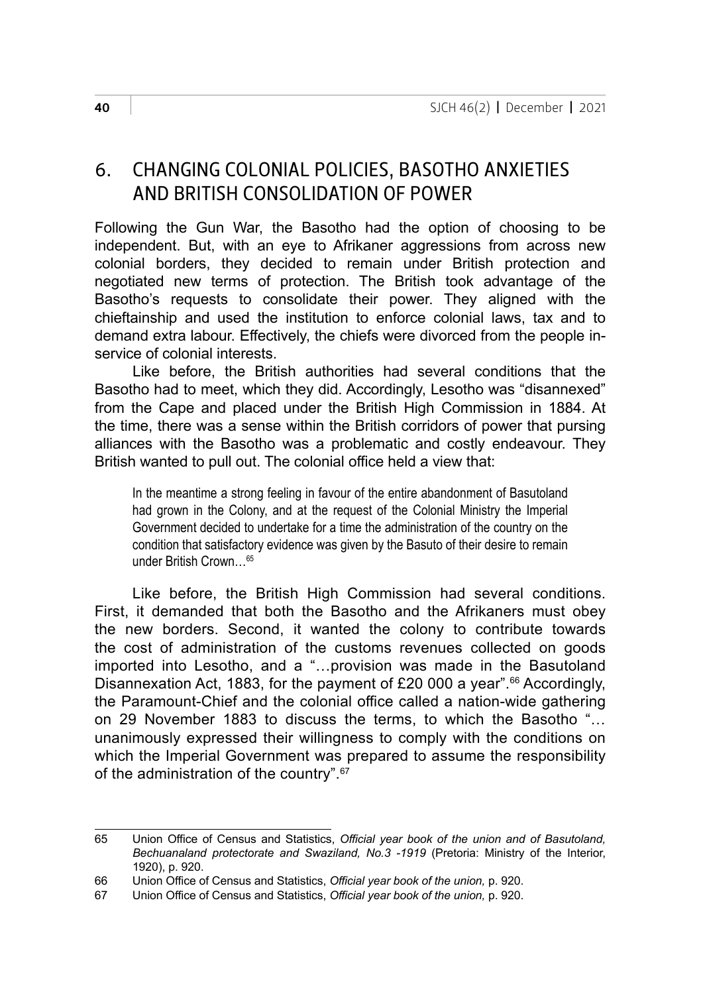## 6. CHANGING COLONIAL POLICIES, BASOTHO ANXIETIES AND BRITISH CONSOLIDATION OF POWER

Following the Gun War, the Basotho had the option of choosing to be independent. But, with an eye to Afrikaner aggressions from across new colonial borders, they decided to remain under British protection and negotiated new terms of protection. The British took advantage of the Basotho's requests to consolidate their power. They aligned with the chieftainship and used the institution to enforce colonial laws, tax and to demand extra labour. Effectively, the chiefs were divorced from the people inservice of colonial interests.

Like before, the British authorities had several conditions that the Basotho had to meet, which they did. Accordingly, Lesotho was "disannexed" from the Cape and placed under the British High Commission in 1884. At the time, there was a sense within the British corridors of power that pursing alliances with the Basotho was a problematic and costly endeavour. They British wanted to pull out. The colonial office held a view that:

In the meantime a strong feeling in favour of the entire abandonment of Basutoland had grown in the Colony, and at the request of the Colonial Ministry the Imperial Government decided to undertake for a time the administration of the country on the condition that satisfactory evidence was given by the Basuto of their desire to remain under British Crown…65

Like before, the British High Commission had several conditions. First, it demanded that both the Basotho and the Afrikaners must obey the new borders. Second, it wanted the colony to contribute towards the cost of administration of the customs revenues collected on goods imported into Lesotho, and a "…provision was made in the Basutoland Disannexation Act, 1883, for the payment of £20 000 a year".<sup>66</sup> Accordingly, the Paramount-Chief and the colonial office called a nation-wide gathering on 29 November 1883 to discuss the terms, to which the Basotho "… unanimously expressed their willingness to comply with the conditions on which the Imperial Government was prepared to assume the responsibility of the administration of the country".67

<sup>65</sup> Union Office of Census and Statistics, *Official year book of the union and of Basutoland, Bechuanaland protectorate and Swaziland, No.3 -1919* (Pretoria: Ministry of the Interior, 1920), p. 920.

<sup>66</sup> Union Office of Census and Statistics, *Official year book of the union,* p. 920.

Union Office of Census and Statistics, *Official year book of the union*, p. 920.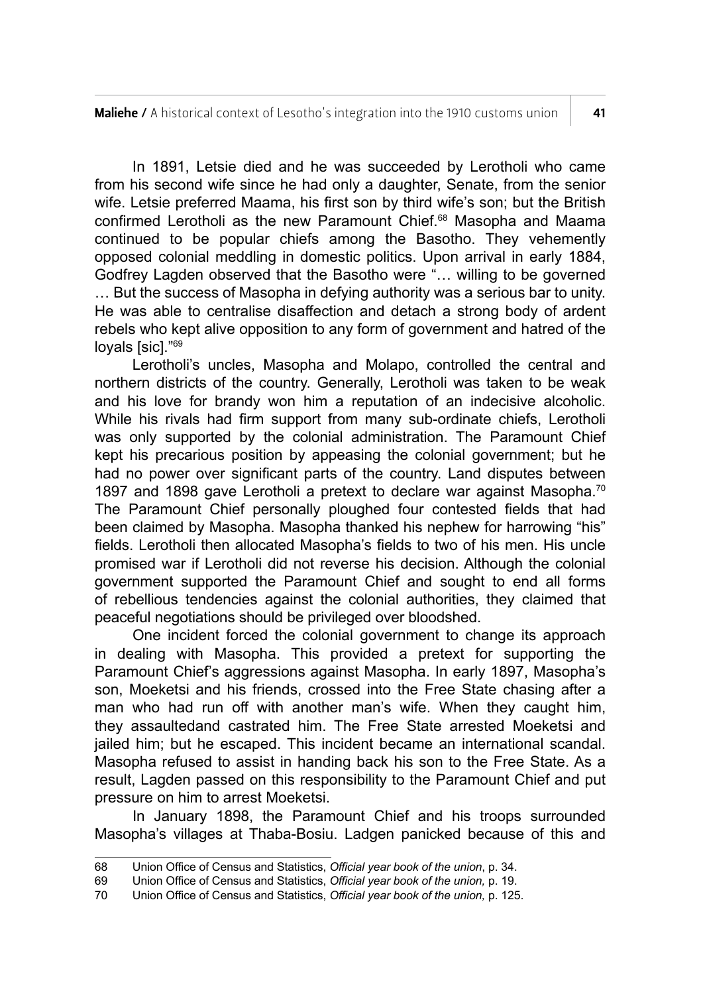In 1891, Letsie died and he was succeeded by Lerotholi who came from his second wife since he had only a daughter, Senate, from the senior wife. Letsie preferred Maama, his first son by third wife's son; but the British confirmed Lerotholi as the new Paramount Chief.68 Masopha and Maama continued to be popular chiefs among the Basotho. They vehemently opposed colonial meddling in domestic politics. Upon arrival in early 1884, Godfrey Lagden observed that the Basotho were "… willing to be governed … But the success of Masopha in defying authority was a serious bar to unity. He was able to centralise disaffection and detach a strong body of ardent rebels who kept alive opposition to any form of government and hatred of the loyals [sic]."69

Lerotholi's uncles, Masopha and Molapo, controlled the central and northern districts of the country. Generally, Lerotholi was taken to be weak and his love for brandy won him a reputation of an indecisive alcoholic. While his rivals had firm support from many sub-ordinate chiefs, Lerotholi was only supported by the colonial administration. The Paramount Chief kept his precarious position by appeasing the colonial government; but he had no power over significant parts of the country. Land disputes between 1897 and 1898 gave Lerotholi a pretext to declare war against Masopha.<sup>70</sup> The Paramount Chief personally ploughed four contested fields that had been claimed by Masopha. Masopha thanked his nephew for harrowing "his" fields. Lerotholi then allocated Masopha's fields to two of his men. His uncle promised war if Lerotholi did not reverse his decision. Although the colonial government supported the Paramount Chief and sought to end all forms of rebellious tendencies against the colonial authorities, they claimed that peaceful negotiations should be privileged over bloodshed.

One incident forced the colonial government to change its approach in dealing with Masopha. This provided a pretext for supporting the Paramount Chief's aggressions against Masopha. In early 1897, Masopha's son, Moeketsi and his friends, crossed into the Free State chasing after a man who had run off with another man's wife. When they caught him, they assaultedand castrated him. The Free State arrested Moeketsi and jailed him; but he escaped. This incident became an international scandal. Masopha refused to assist in handing back his son to the Free State. As a result, Lagden passed on this responsibility to the Paramount Chief and put pressure on him to arrest Moeketsi.

In January 1898, the Paramount Chief and his troops surrounded Masopha's villages at Thaba-Bosiu. Ladgen panicked because of this and

<sup>68</sup> Union Office of Census and Statistics, *Official year book of the union*, p. 34.

<sup>69</sup> Union Office of Census and Statistics, *Official year book of the union,* p. 19.

<sup>70</sup> Union Office of Census and Statistics, *Official year book of the union,* p. 125.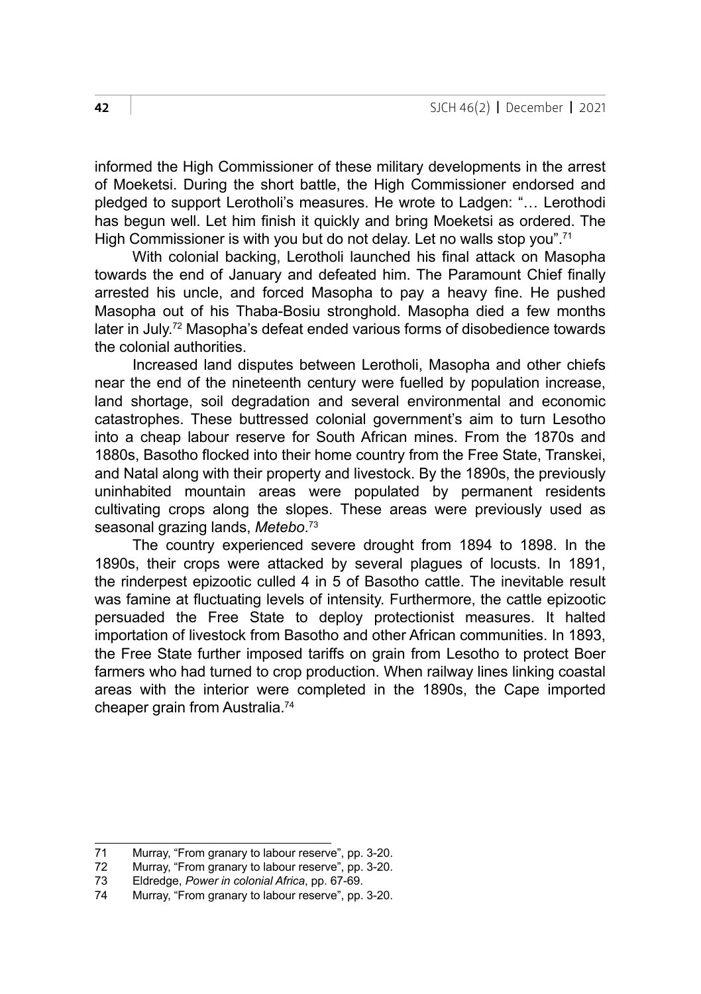informed the High Commissioner of these military developments in the arrest of Moeketsi. During the short battle, the High Commissioner endorsed and pledged to support Lerotholi's measures. He wrote to Ladgen: "… Lerothodi has begun well. Let him finish it quickly and bring Moeketsi as ordered. The High Commissioner is with you but do not delay. Let no walls stop you".<sup>71</sup>

With colonial backing, Lerotholi launched his final attack on Masopha towards the end of January and defeated him. The Paramount Chief finally arrested his uncle, and forced Masopha to pay a heavy fine. He pushed Masopha out of his Thaba-Bosiu stronghold. Masopha died a few months later in July.72 Masopha's defeat ended various forms of disobedience towards the colonial authorities.

Increased land disputes between Lerotholi, Masopha and other chiefs near the end of the nineteenth century were fuelled by population increase, land shortage, soil degradation and several environmental and economic catastrophes. These buttressed colonial government's aim to turn Lesotho into a cheap labour reserve for South African mines. From the 1870s and 1880s, Basotho flocked into their home country from the Free State, Transkei, and Natal along with their property and livestock. By the 1890s, the previously uninhabited mountain areas were populated by permanent residents cultivating crops along the slopes. These areas were previously used as seasonal grazing lands, *Metebo*. 73

The country experienced severe drought from 1894 to 1898. In the 1890s, their crops were attacked by several plagues of locusts. In 1891, the rinderpest epizootic culled 4 in 5 of Basotho cattle. The inevitable result was famine at fluctuating levels of intensity. Furthermore, the cattle epizootic persuaded the Free State to deploy protectionist measures. It halted importation of livestock from Basotho and other African communities. In 1893, the Free State further imposed tariffs on grain from Lesotho to protect Boer farmers who had turned to crop production. When railway lines linking coastal areas with the interior were completed in the 1890s, the Cape imported cheaper grain from Australia.74

<sup>71</sup> Murray, "From granary to labour reserve", pp. 3-20.<br>72 Murray. "From granary to labour reserve", pp. 3-20.

<sup>72</sup> Murray, "From granary to labour reserve", pp. 3-20.<br>73 Eldredge. Power in colonial Africa. pp. 67-69.

<sup>73</sup> Eldredge, *Power in colonial Africa*, pp. 67-69.

Murray, "From granary to labour reserve", pp. 3-20.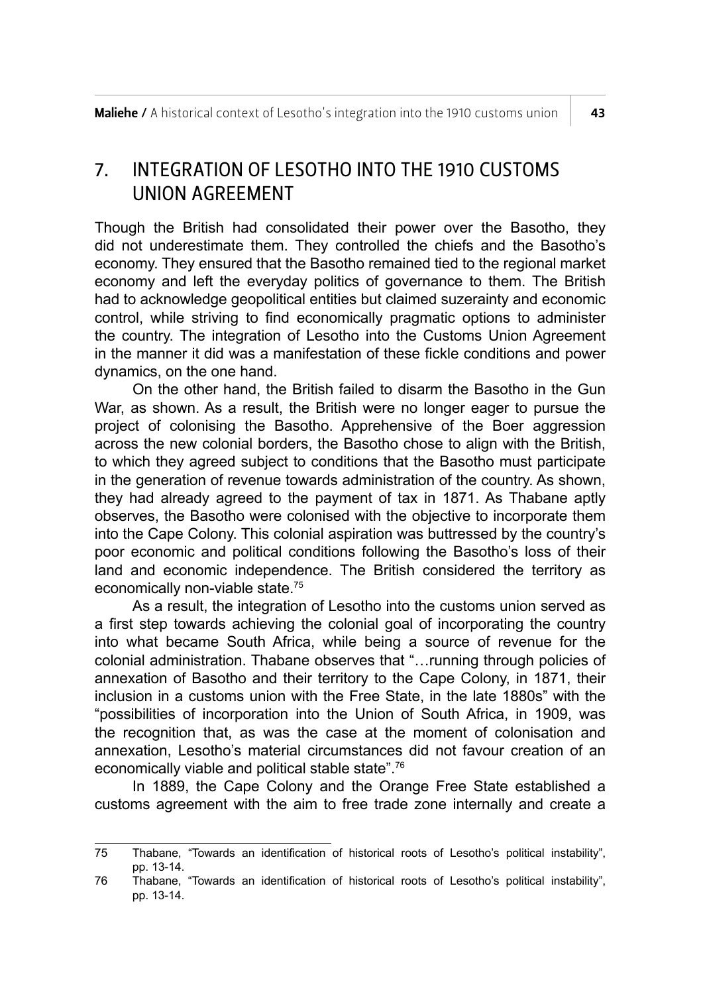### 7. INTEGRATION OF LESOTHO INTO THE 1910 CUSTOMS UNION AGREEMENT

Though the British had consolidated their power over the Basotho, they did not underestimate them. They controlled the chiefs and the Basotho's economy. They ensured that the Basotho remained tied to the regional market economy and left the everyday politics of governance to them. The British had to acknowledge geopolitical entities but claimed suzerainty and economic control, while striving to find economically pragmatic options to administer the country. The integration of Lesotho into the Customs Union Agreement in the manner it did was a manifestation of these fickle conditions and power dynamics, on the one hand.

On the other hand, the British failed to disarm the Basotho in the Gun War, as shown. As a result, the British were no longer eager to pursue the project of colonising the Basotho. Apprehensive of the Boer aggression across the new colonial borders, the Basotho chose to align with the British, to which they agreed subject to conditions that the Basotho must participate in the generation of revenue towards administration of the country. As shown, they had already agreed to the payment of tax in 1871. As Thabane aptly observes, the Basotho were colonised with the objective to incorporate them into the Cape Colony. This colonial aspiration was buttressed by the country's poor economic and political conditions following the Basotho's loss of their land and economic independence. The British considered the territory as economically non-viable state.75

As a result, the integration of Lesotho into the customs union served as a first step towards achieving the colonial goal of incorporating the country into what became South Africa, while being a source of revenue for the colonial administration. Thabane observes that "…running through policies of annexation of Basotho and their territory to the Cape Colony, in 1871, their inclusion in a customs union with the Free State, in the late 1880s" with the "possibilities of incorporation into the Union of South Africa, in 1909, was the recognition that, as was the case at the moment of colonisation and annexation, Lesotho's material circumstances did not favour creation of an economically viable and political stable state".76

In 1889, the Cape Colony and the Orange Free State established a customs agreement with the aim to free trade zone internally and create a

<sup>75</sup> Thabane, "Towards an identification of historical roots of Lesotho's political instability", pp. 13-14.

<sup>76</sup> Thabane, "Towards an identification of historical roots of Lesotho's political instability", pp. 13-14.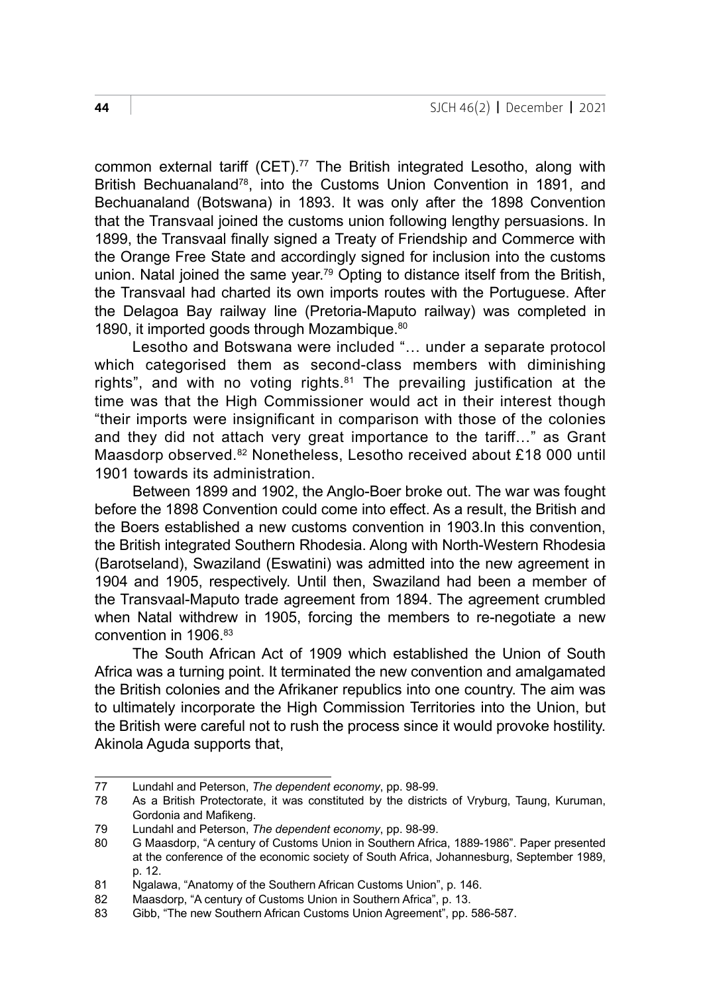common external tariff (CET).<sup>77</sup> The British integrated Lesotho, along with British Bechuanaland<sup>78</sup>, into the Customs Union Convention in 1891, and Bechuanaland (Botswana) in 1893. It was only after the 1898 Convention that the Transvaal joined the customs union following lengthy persuasions. In 1899, the Transvaal finally signed a Treaty of Friendship and Commerce with the Orange Free State and accordingly signed for inclusion into the customs union. Natal joined the same year.<sup>79</sup> Opting to distance itself from the British. the Transvaal had charted its own imports routes with the Portuguese. After the Delagoa Bay railway line (Pretoria-Maputo railway) was completed in 1890, it imported goods through Mozambique.<sup>80</sup>

Lesotho and Botswana were included "… under a separate protocol which categorised them as second-class members with diminishing rights", and with no voting rights.<sup>81</sup> The prevailing justification at the time was that the High Commissioner would act in their interest though "their imports were insignificant in comparison with those of the colonies and they did not attach very great importance to the tariff…" as Grant Maasdorp observed.82 Nonetheless, Lesotho received about £18 000 until 1901 towards its administration.

Between 1899 and 1902, the Anglo-Boer broke out. The war was fought before the 1898 Convention could come into effect. As a result, the British and the Boers established a new customs convention in 1903.In this convention, the British integrated Southern Rhodesia. Along with North-Western Rhodesia (Barotseland), Swaziland (Eswatini) was admitted into the new agreement in 1904 and 1905, respectively. Until then, Swaziland had been a member of the Transvaal-Maputo trade agreement from 1894. The agreement crumbled when Natal withdrew in 1905, forcing the members to re-negotiate a new convention in 1906<sup>83</sup>

The South African Act of 1909 which established the Union of South Africa was a turning point. It terminated the new convention and amalgamated the British colonies and the Afrikaner republics into one country. The aim was to ultimately incorporate the High Commission Territories into the Union, but the British were careful not to rush the process since it would provoke hostility. Akinola Aguda supports that,

<sup>77</sup> Lundahl and Peterson, *The dependent economy*, pp. 98-99.

As a British Protectorate, it was constituted by the districts of Vryburg, Taung, Kuruman, Gordonia and Mafikeng.

<sup>79</sup> Lundahl and Peterson, *The dependent economy*, pp. 98-99.

<sup>80</sup> G Maasdorp, "A century of Customs Union in Southern Africa, 1889-1986". Paper presented at the conference of the economic society of South Africa, Johannesburg, September 1989, p. 12.

<sup>81</sup> Ngalawa, "Anatomy of the Southern African Customs Union", p. 146.

<sup>82</sup> Maasdorp, "A century of Customs Union in Southern Africa", p. 13.

<sup>83</sup> Gibb, "The new Southern African Customs Union Agreement", pp. 586-587.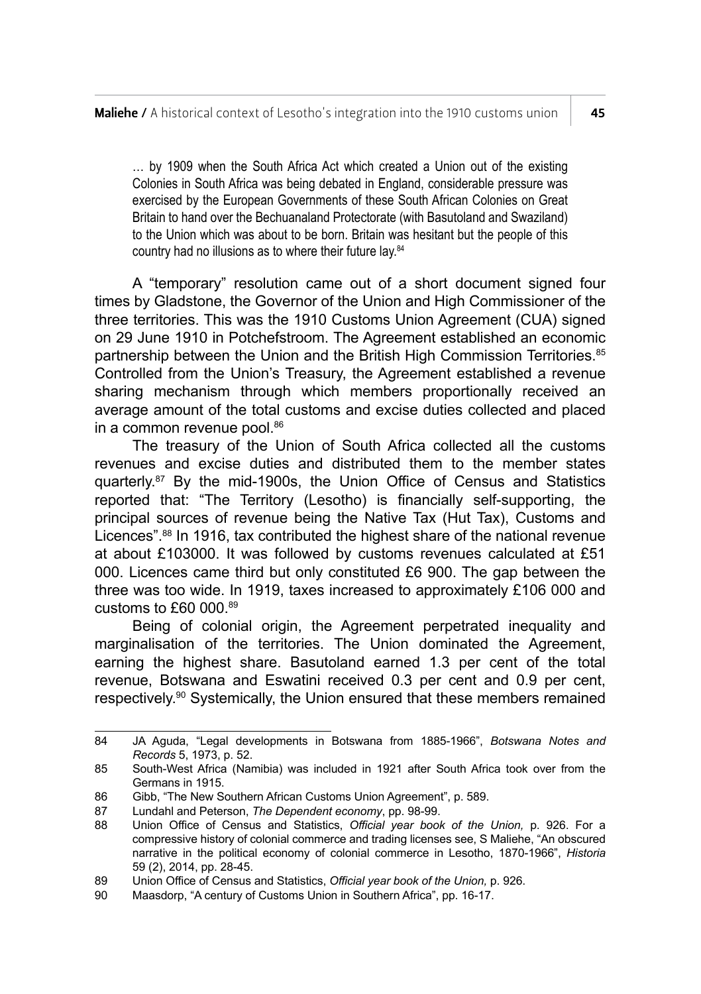… by 1909 when the South Africa Act which created a Union out of the existing Colonies in South Africa was being debated in England, considerable pressure was exercised by the European Governments of these South African Colonies on Great Britain to hand over the Bechuanaland Protectorate (with Basutoland and Swaziland) to the Union which was about to be born. Britain was hesitant but the people of this country had no illusions as to where their future lay.84

A "temporary" resolution came out of a short document signed four times by Gladstone, the Governor of the Union and High Commissioner of the three territories. This was the 1910 Customs Union Agreement (CUA) signed on 29 June 1910 in Potchefstroom. The Agreement established an economic partnership between the Union and the British High Commission Territories.<sup>85</sup> Controlled from the Union's Treasury, the Agreement established a revenue sharing mechanism through which members proportionally received an average amount of the total customs and excise duties collected and placed in a common revenue pool.<sup>86</sup>

The treasury of the Union of South Africa collected all the customs revenues and excise duties and distributed them to the member states quarterly.87 By the mid-1900s, the Union Office of Census and Statistics reported that: "The Territory (Lesotho) is financially self-supporting, the principal sources of revenue being the Native Tax (Hut Tax), Customs and Licences".88 In 1916, tax contributed the highest share of the national revenue at about £103000. It was followed by customs revenues calculated at £51 000. Licences came third but only constituted £6 900. The gap between the three was too wide. In 1919, taxes increased to approximately £106 000 and customs to £60 000.89

Being of colonial origin, the Agreement perpetrated inequality and marginalisation of the territories. The Union dominated the Agreement, earning the highest share. Basutoland earned 1.3 per cent of the total revenue, Botswana and Eswatini received 0.3 per cent and 0.9 per cent, respectively.90 Systemically, the Union ensured that these members remained

<sup>84</sup> JA Aguda, "Legal developments in Botswana from 1885-1966", *Botswana Notes and Records* 5, 1973, p. 52.

<sup>85</sup> South-West Africa (Namibia) was included in 1921 after South Africa took over from the Germans in 1915.

<sup>86</sup> Gibb, "The New Southern African Customs Union Agreement", p. 589.

<sup>87</sup> Lundahl and Peterson, *The Dependent economy*, pp. 98-99.

<sup>88</sup> Union Office of Census and Statistics, *Official year book of the Union,* p. 926. For a compressive history of colonial commerce and trading licenses see, S Maliehe, "An obscured narrative in the political economy of colonial commerce in Lesotho, 1870-1966", *Historia* 59 (2), 2014, pp. 28-45.

<sup>89</sup> Union Office of Census and Statistics, *Official year book of the Union*, p. 926.<br>90 Maasdorn <sup>#</sup>A century of Customs Union in Southern Africa" pp. 16-17

Maasdorp, "A century of Customs Union in Southern Africa", pp. 16-17.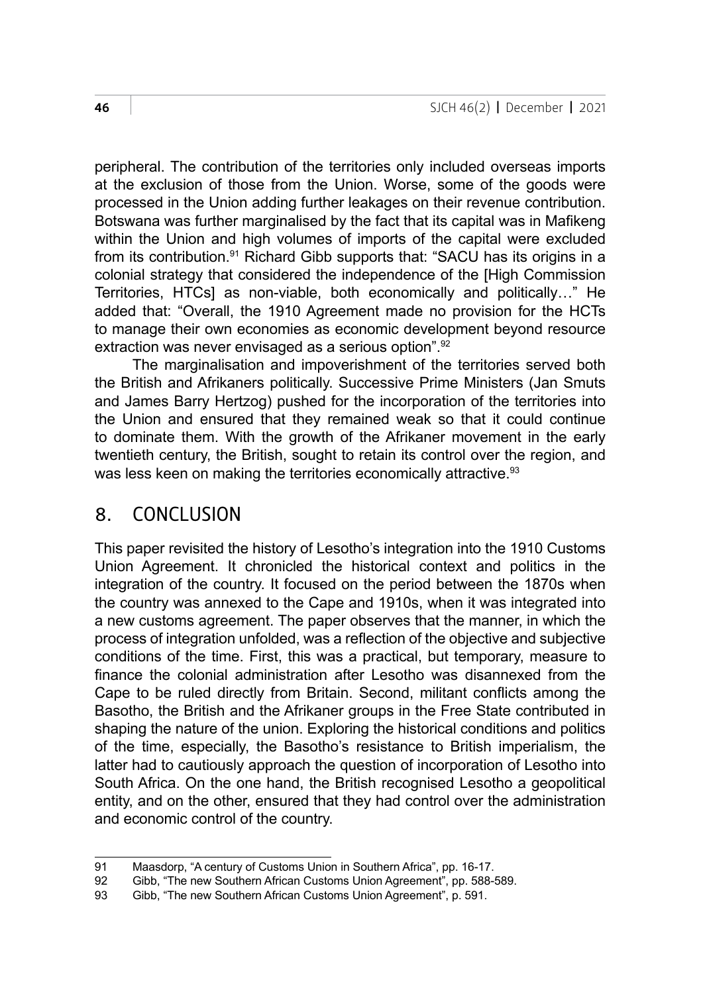peripheral. The contribution of the territories only included overseas imports at the exclusion of those from the Union. Worse, some of the goods were processed in the Union adding further leakages on their revenue contribution. Botswana was further marginalised by the fact that its capital was in Mafikeng within the Union and high volumes of imports of the capital were excluded from its contribution.<sup>91</sup> Richard Gibb supports that: "SACU has its origins in a colonial strategy that considered the independence of the [High Commission Territories, HTCs] as non-viable, both economically and politically…" He added that: "Overall, the 1910 Agreement made no provision for the HCTs to manage their own economies as economic development beyond resource extraction was never envisaged as a serious option".<sup>92</sup>

The marginalisation and impoverishment of the territories served both the British and Afrikaners politically. Successive Prime Ministers (Jan Smuts and James Barry Hertzog) pushed for the incorporation of the territories into the Union and ensured that they remained weak so that it could continue to dominate them. With the growth of the Afrikaner movement in the early twentieth century, the British, sought to retain its control over the region, and was less keen on making the territories economically attractive.<sup>93</sup>

#### 8. CONCLUSION

This paper revisited the history of Lesotho's integration into the 1910 Customs Union Agreement. It chronicled the historical context and politics in the integration of the country. It focused on the period between the 1870s when the country was annexed to the Cape and 1910s, when it was integrated into a new customs agreement. The paper observes that the manner, in which the process of integration unfolded, was a reflection of the objective and subjective conditions of the time. First, this was a practical, but temporary, measure to finance the colonial administration after Lesotho was disannexed from the Cape to be ruled directly from Britain. Second, militant conflicts among the Basotho, the British and the Afrikaner groups in the Free State contributed in shaping the nature of the union. Exploring the historical conditions and politics of the time, especially, the Basotho's resistance to British imperialism, the latter had to cautiously approach the question of incorporation of Lesotho into South Africa. On the one hand, the British recognised Lesotho a geopolitical entity, and on the other, ensured that they had control over the administration and economic control of the country.

<sup>91</sup> Maasdorp, "A century of Customs Union in Southern Africa", pp. 16-17.<br>92 Gibb. "The new Southern African Customs Union Agreement", pp. 588-

<sup>92</sup> Gibb, "The new Southern African Customs Union Agreement", pp. 588-589.<br>93 Gibb "The new Southern African Customs Union Agreement" p. 591.

Gibb, "The new Southern African Customs Union Agreement", p. 591.